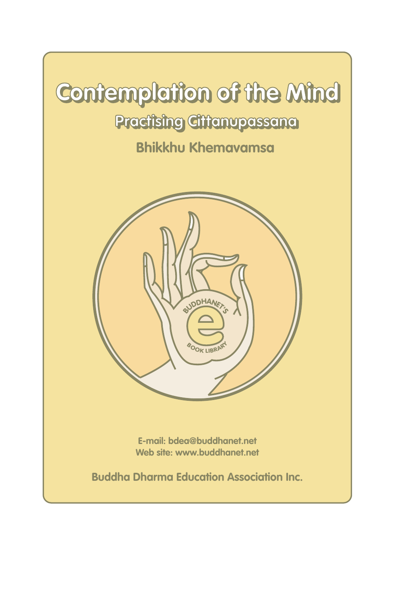# **Practising Cittanupassana Practising Cittanupassana Contemplation of the Mind Contemplation of the Mind**

**Bhikkhu Khemavamsa**



**E-mail: bdea@buddhanet.net Web site: www.buddhanet.net**

Buddha Dharma Education Association Inc.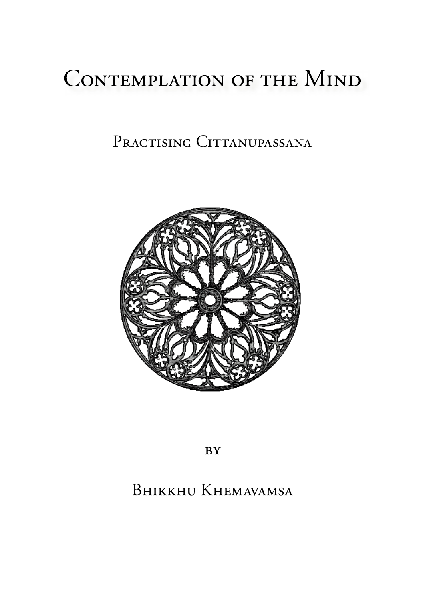## CONTEMPLATION OF THE MIND

## PRACTISING CITTANUPASSANA



**BY** 

## BHIKKHU KHEMAVAMSA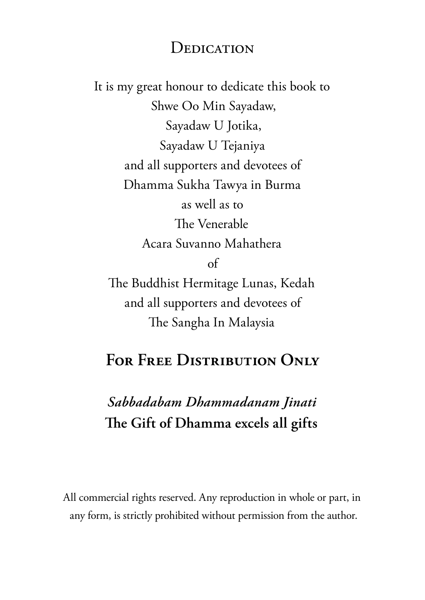#### DEDICATION

It is my great honour to dedicate this book to Shwe Oo Min Sayadaw, Sayadaw U Jotika, Sayadaw U Tejaniya and all supporters and devotees of Dhamma Sukha Tawya in Burma as well as to The Venerable Acara Suvanno Mahathera of The Buddhist Hermitage Lunas, Kedah and all supporters and devotees of The Sangha In Malaysia

## **FOR FREE DISTRIBUTION ONLY**

## *Sabbadabam Dhammadanam Jinati* **e Gift of Dhamma excels all gifts**

All commercial rights reserved. Any reproduction in whole or part, in any form, is strictly prohibited without permission from the author.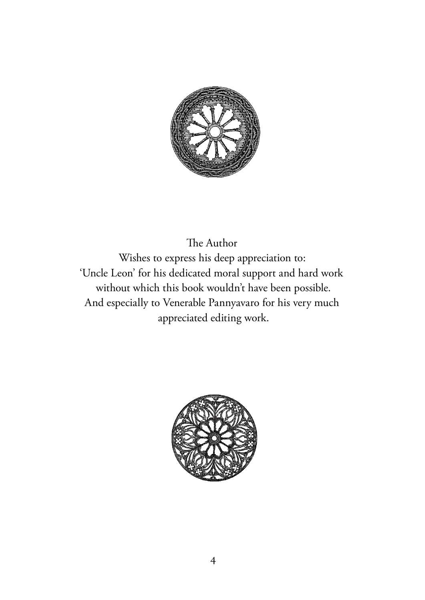

The Author Wishes to express his deep appreciation to: 'Uncle Leon' for his dedicated moral support and hard work without which this book wouldn't have been possible. And especially to Venerable Pannyavaro for his very much appreciated editing work.

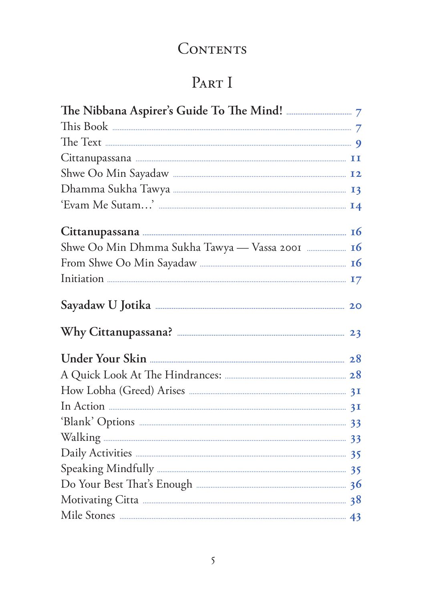## CONTENTS

## PART I

| Shwe Oo Min Dhmma Sukha Tawya — Vassa 2001  16 |    |
|------------------------------------------------|----|
|                                                |    |
|                                                |    |
|                                                |    |
|                                                |    |
|                                                |    |
|                                                |    |
|                                                |    |
|                                                |    |
|                                                |    |
|                                                | 33 |
|                                                | 35 |
|                                                | 35 |
|                                                | 36 |
|                                                | 38 |
|                                                |    |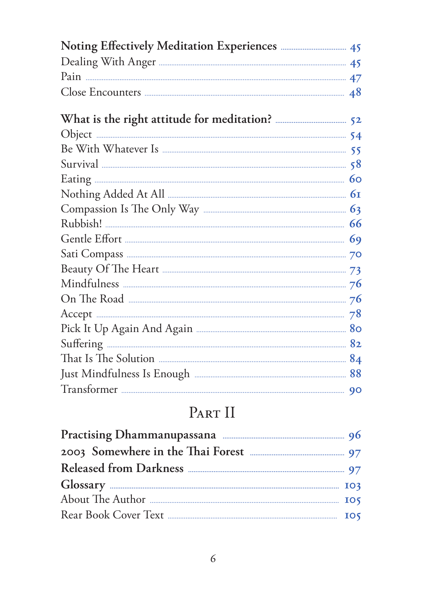| Close Encounters <b>Election</b> 48       |    |
|-------------------------------------------|----|
|                                           |    |
|                                           |    |
|                                           |    |
|                                           |    |
|                                           |    |
|                                           |    |
|                                           |    |
|                                           |    |
|                                           |    |
|                                           |    |
|                                           |    |
|                                           |    |
|                                           |    |
|                                           |    |
|                                           |    |
|                                           |    |
| That Is The Solution <b>Constructs</b> 24 |    |
|                                           |    |
| Transformer                               | 90 |

## PART II

| 2003 Somewhere in the Thai Forest <b>Election</b> Strategy 197                                                                                                                                                                       |  |
|--------------------------------------------------------------------------------------------------------------------------------------------------------------------------------------------------------------------------------------|--|
| Released from Darkness <b>Engineering Strategie Strategie Strategie Strategie Strategie Strategie Strategie Strategie Strategie Strategie Strategie Strategie Strategie Strategie Strategie Strategie Strategie Strategie Strate</b> |  |
|                                                                                                                                                                                                                                      |  |
|                                                                                                                                                                                                                                      |  |
|                                                                                                                                                                                                                                      |  |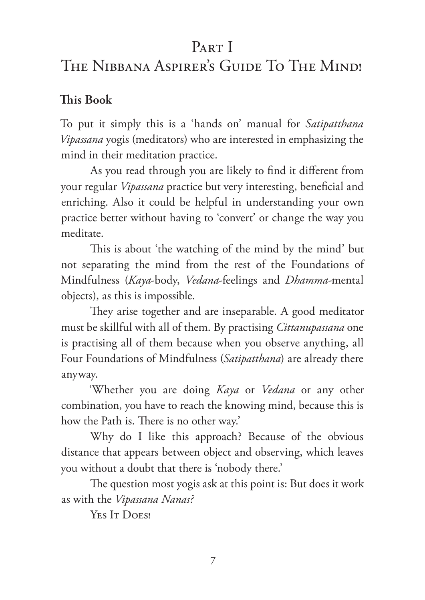### PART I

## <span id="page-6-0"></span>THE NIBBANA ASPIRER'S GUIDE TO THE MIND!

#### **This Book**

To put it simply this is a 'hands on' manual for *Satipatthana Vipassana* yogis (meditators) who are interested in emphasizing the mind in their meditation practice.

As you read through you are likely to find it different from your regular *Vipassana* practice but very interesting, beneficial and enriching. Also it could be helpful in understanding your own practice better without having to 'convert' or change the way you meditate.

This is about 'the watching of the mind by the mind' but not separating the mind from the rest of the Foundations of Mindfulness (*Kaya*-body, *Vedana*-feelings and *Dhamma-*mental objects), as this is impossible.

They arise together and are inseparable. A good meditator must be skillful with all of them. By practising *Cittanupassana* one is practising all of them because when you observe anything, all Four Foundations of Mindfulness (*Satipatthana*) are already there anyway.

'Whether you are doing *Kaya* or *Vedana* or any other combination, you have to reach the knowing mind, because this is how the Path is. There is no other way.'

Why do I like this approach? Because of the obvious distance that appears between object and observing, which leaves you without a doubt that there is 'nobody there.'

The question most yogis ask at this point is: But does it work as with the *Vipassana Nanas?*

YES IT DOES!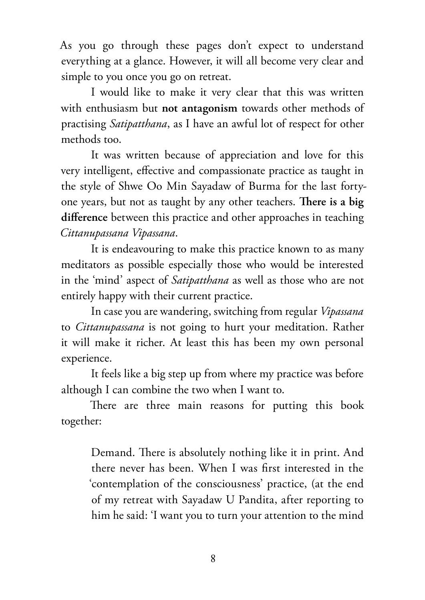As you go through these pages don't expect to understand everything at a glance. However, it will all become very clear and simple to you once you go on retreat.

I would like to make it very clear that this was written with enthusiasm but **not antagonism** towards other methods of practising *Satipatthana*, as I have an awful lot of respect for other methods too.

It was written because of appreciation and love for this very intelligent, effective and compassionate practice as taught in the style of Shwe Oo Min Sayadaw of Burma for the last fortyone years, but not as taught by any other teachers. There is a big **difference** between this practice and other approaches in teaching *Cittanupassana Vipassana*.

It is endeavouring to make this practice known to as many meditators as possible especially those who would be interested in the 'mind' aspect of *Satipatthana* as well as those who are not entirely happy with their current practice.

In case you are wandering, switching from regular *Vipassana* to *Cittanupassana* is not going to hurt your meditation. Rather it will make it richer. At least this has been my own personal experience.

It feels like a big step up from where my practice was before although I can combine the two when I want to.

There are three main reasons for putting this book together:

Demand. There is absolutely nothing like it in print. And there never has been. When I was first interested in the 'contemplation of the consciousness' practice, (at the end of my retreat with Sayadaw U Pandita, after reporting to him he said: 'I want you to turn your attention to the mind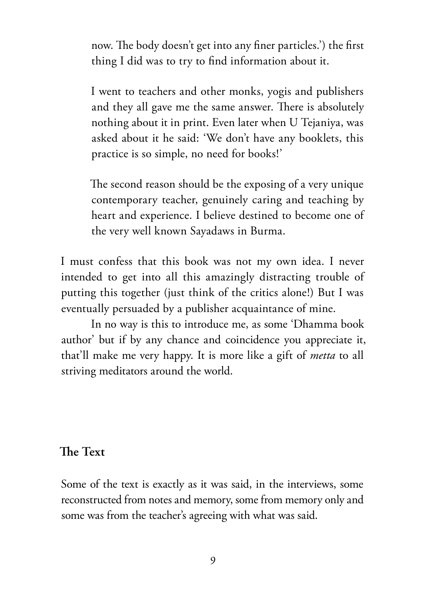<span id="page-8-0"></span>now. The body doesn't get into any finer particles.') the first thing I did was to try to find information about it.

I went to teachers and other monks, yogis and publishers and they all gave me the same answer. There is absolutely nothing about it in print. Even later when U Tejaniya, was asked about it he said: 'We don't have any booklets, this practice is so simple, no need for books!'

The second reason should be the exposing of a very unique contemporary teacher, genuinely caring and teaching by heart and experience. I believe destined to become one of the very well known Sayadaws in Burma.

I must confess that this book was not my own idea. I never intended to get into all this amazingly distracting trouble of putting this together (just think of the critics alone!) But I was eventually persuaded by a publisher acquaintance of mine.

In no way is this to introduce me, as some 'Dhamma book author' but if by any chance and coincidence you appreciate it, that'll make me very happy. It is more like a gift of *metta* to all striving meditators around the world.

#### **e Text**

Some of the text is exactly as it was said, in the interviews, some reconstructed from notes and memory, some from memory only and some was from the teacher's agreeing with what was said.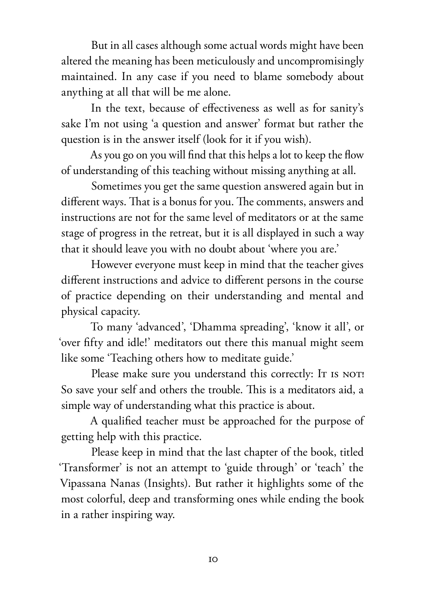But in all cases although some actual words might have been altered the meaning has been meticulously and uncompromisingly maintained. In any case if you need to blame somebody about anything at all that will be me alone.

In the text, because of effectiveness as well as for sanity's sake I'm not using 'a question and answer' format but rather the question is in the answer itself (look for it if you wish).

As you go on you will find that this helps a lot to keep the flow of understanding of this teaching without missing anything at all.

Sometimes you get the same question answered again but in different ways. That is a bonus for you. The comments, answers and instructions are not for the same level of meditators or at the same stage of progress in the retreat, but it is all displayed in such a way that it should leave you with no doubt about 'where you are.'

However everyone must keep in mind that the teacher gives different instructions and advice to different persons in the course of practice depending on their understanding and mental and physical capacity.

To many 'advanced', 'Dhamma spreading', 'know it all', or 'over fifty and idle!' meditators out there this manual might seem like some 'Teaching others how to meditate guide.'

Please make sure you understand this correctly: IT IS NOT! So save your self and others the trouble. This is a meditators aid, a simple way of understanding what this practice is about.

A qualified teacher must be approached for the purpose of getting help with this practice.

Please keep in mind that the last chapter of the book, titled 'Transformer' is not an attempt to 'guide through' or 'teach' the Vipassana Nanas (Insights). But rather it highlights some of the most colorful, deep and transforming ones while ending the book in a rather inspiring way.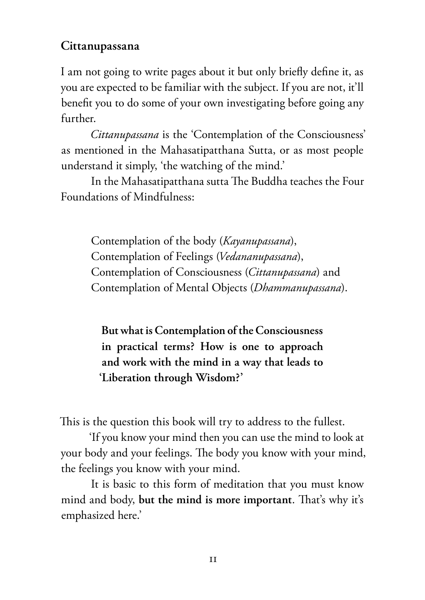#### <span id="page-10-0"></span>**Cittanupassana**

I am not going to write pages about it but only briefly define it, as you are expected to be familiar with the subject. If you are not, it'll benefit you to do some of your own investigating before going any further.

*Cittanupassana* is the 'Contemplation of the Consciousness' as mentioned in the Mahasatipatthana Sutta, or as most people understand it simply, 'the watching of the mind.'

In the Mahasatipatthana sutta The Buddha teaches the Four Foundations of Mindfulness:

Contemplation of the body (*Kayanupassana*), Contemplation of Feelings (*Vedananupassana*), Contemplation of Consciousness (*Cittanupassana*) and Contemplation of Mental Objects (*Dhammanupassana*).

**But what is Contemplation of the Consciousness in practical terms? How is one to approach and work with the mind in a way that leads to 'Liberation through Wisdom?'**

This is the question this book will try to address to the fullest.

'If you know your mind then you can use the mind to look at your body and your feelings. The body you know with your mind, the feelings you know with your mind.

It is basic to this form of meditation that you must know mind and body, but the mind is more important. That's why it's emphasized here.'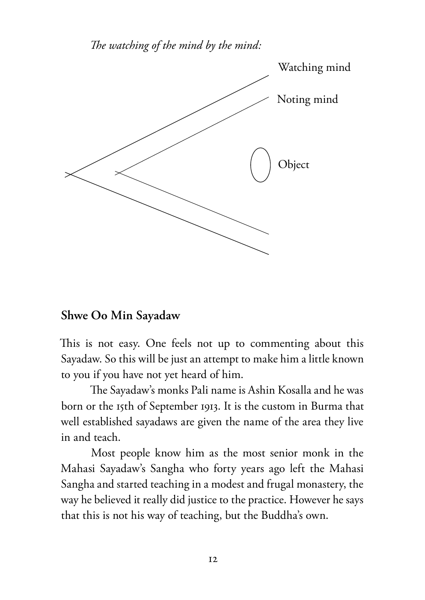The watching of the mind by the mind:

<span id="page-11-0"></span>

#### **Shwe Oo Min Sayadaw**

This is not easy. One feels not up to commenting about this Sayadaw. So this will be just an attempt to make him a little known to you if you have not yet heard of him.

The Sayadaw's monks Pali name is Ashin Kosalla and he was born or the 15th of September 1913. It is the custom in Burma that well established sayadaws are given the name of the area they live in and teach.

Most people know him as the most senior monk in the Mahasi Sayadaw's Sangha who forty years ago left the Mahasi Sangha and started teaching in a modest and frugal monastery, the way he believed it really did justice to the practice. However he says that this is not his way of teaching, but the Buddha's own.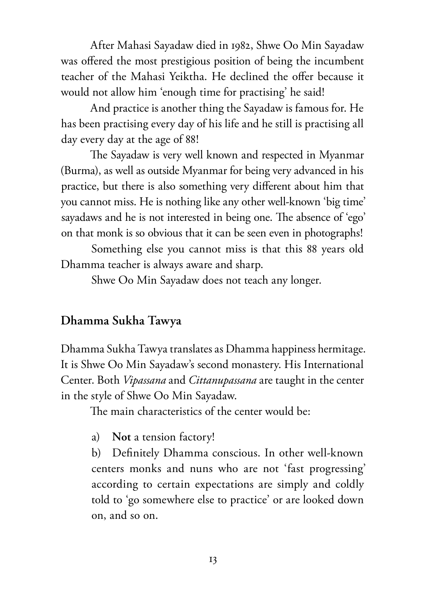<span id="page-12-0"></span>After Mahasi Sayadaw died in 1982, Shwe Oo Min Sayadaw was offered the most prestigious position of being the incumbent teacher of the Mahasi Yeiktha. He declined the offer because it would not allow him 'enough time for practising' he said!

And practice is another thing the Sayadaw is famous for. He has been practising every day of his life and he still is practising all day every day at the age of 88!

The Sayadaw is very well known and respected in Myanmar (Burma), as well as outside Myanmar for being very advanced in his practice, but there is also something very different about him that you cannot miss. He is nothing like any other well-known 'big time' sayadaws and he is not interested in being one. The absence of 'ego' on that monk is so obvious that it can be seen even in photographs!

Something else you cannot miss is that this 88 years old Dhamma teacher is always aware and sharp.

Shwe Oo Min Sayadaw does not teach any longer.

#### **Dhamma Sukha Tawya**

Dhamma Sukha Tawya translates as Dhamma happiness hermitage. It is Shwe Oo Min Sayadaw's second monastery. His International Center. Both *Vipassana* and *Cittanupassana* are taught in the center in the style of Shwe Oo Min Sayadaw.

The main characteristics of the center would be:

a) **Not** a tension factory!

b) Definitely Dhamma conscious. In other well-known centers monks and nuns who are not 'fast progressing' according to certain expectations are simply and coldly told to 'go somewhere else to practice' or are looked down on, and so on.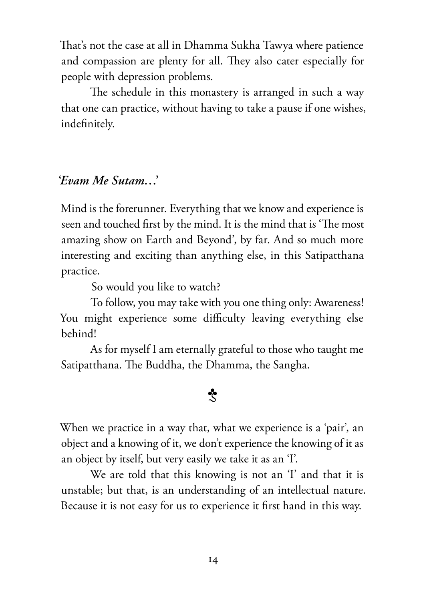<span id="page-13-0"></span>That's not the case at all in Dhamma Sukha Tawya where patience and compassion are plenty for all. They also cater especially for people with depression problems.

The schedule in this monastery is arranged in such a way that one can practice, without having to take a pause if one wishes, indefinitely.

#### **'***Evam Me Sutam***…'**

Mind is the forerunner. Everything that we know and experience is seen and touched first by the mind. It is the mind that is 'The most amazing show on Earth and Beyond', by far. And so much more interesting and exciting than anything else, in this Satipatthana practice.

So would you like to watch?

To follow, you may take with you one thing only: Awareness! You might experience some difficulty leaving everything else behind!

As for myself I am eternally grateful to those who taught me Satipatthana. The Buddha, the Dhamma, the Sangha.

#### $\ddot{\mathcal{S}}$

When we practice in a way that, what we experience is a 'pair', an object and a knowing of it, we don't experience the knowing of it as an object by itself, but very easily we take it as an 'I'.

We are told that this knowing is not an 'I' and that it is unstable; but that, is an understanding of an intellectual nature. Because it is not easy for us to experience it first hand in this way.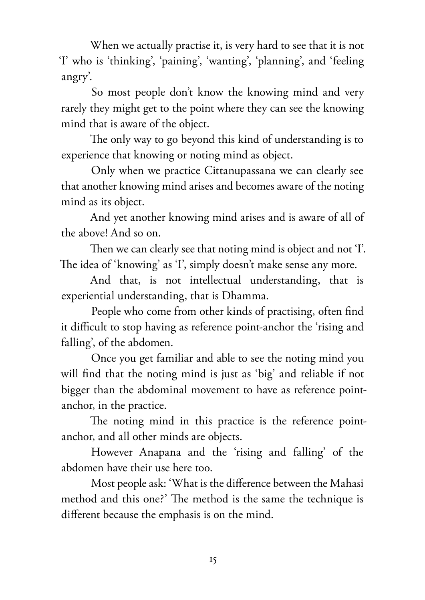When we actually practise it, is very hard to see that it is not 'I' who is 'thinking', 'paining', 'wanting', 'planning', and 'feeling angry'.

So most people don't know the knowing mind and very rarely they might get to the point where they can see the knowing mind that is aware of the object.

The only way to go beyond this kind of understanding is to experience that knowing or noting mind as object.

Only when we practice Cittanupassana we can clearly see that another knowing mind arises and becomes aware of the noting mind as its object.

And yet another knowing mind arises and is aware of all of the above! And so on.

Then we can clearly see that noting mind is object and not 'I'. The idea of 'knowing' as 'I', simply doesn't make sense any more.

And that, is not intellectual understanding, that is experiential understanding, that is Dhamma.

People who come from other kinds of practising, often find it difficult to stop having as reference point-anchor the 'rising and falling', of the abdomen.

Once you get familiar and able to see the noting mind you will find that the noting mind is just as 'big' and reliable if not bigger than the abdominal movement to have as reference pointanchor, in the practice.

The noting mind in this practice is the reference pointanchor, and all other minds are objects.

However Anapana and the 'rising and falling' of the abdomen have their use here too.

Most people ask: 'What is the difference between the Mahasi method and this one?' The method is the same the technique is different because the emphasis is on the mind.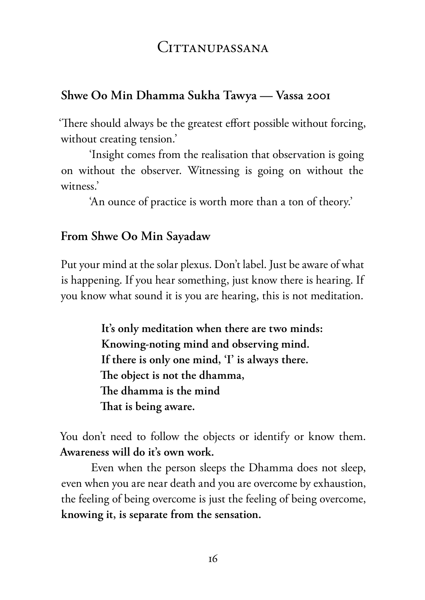#### **CITTANUPASSANA**

#### <span id="page-15-0"></span>**Shwe Oo Min Dhamma Sukha Tawya — Vassa**

There should always be the greatest effort possible without forcing, without creating tension.'

'Insight comes from the realisation that observation is going on without the observer. Witnessing is going on without the witness.'

'An ounce of practice is worth more than a ton of theory.'

#### **From Shwe Oo Min Sayadaw**

Put your mind at the solar plexus. Don't label. Just be aware of what is happening. If you hear something, just know there is hearing. If you know what sound it is you are hearing, this is not meditation.

> **It's only meditation when there are two minds: Knowing-noting mind and observing mind. If there is only one mind, 'I' is always there.** The object is not the dhamma, **e dhamma is the mind** That is being aware.

You don't need to follow the objects or identify or know them. **Awareness will do it's own work.**

Even when the person sleeps the Dhamma does not sleep, even when you are near death and you are overcome by exhaustion, the feeling of being overcome is just the feeling of being overcome, **knowing it, is separate from the sensation.**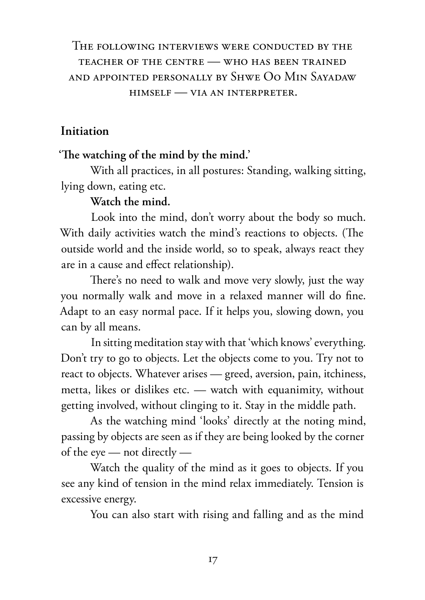#### <span id="page-16-0"></span>THE FOLLOWING INTERVIEWS WERE CONDUCTED BY THE TEACHER OF THE CENTRE - WHO HAS BEEN TRAINED AND APPOINTED PERSONALLY BY SHWE OO MIN SAYADAW HIMSELF - VIA AN INTERPRETER.

#### **Initiation**

#### 'The watching of the mind by the mind.'

With all practices, in all postures: Standing, walking sitting, lying down, eating etc.

#### **Watch the mind.**

Look into the mind, don't worry about the body so much. With daily activities watch the mind's reactions to objects. (The outside world and the inside world, so to speak, always react they are in a cause and effect relationship).

There's no need to walk and move very slowly, just the way you normally walk and move in a relaxed manner will do fine. Adapt to an easy normal pace. If it helps you, slowing down, you can by all means.

In sitting meditation stay with that 'which knows' everything. Don't try to go to objects. Let the objects come to you. Try not to react to objects. Whatever arises — greed, aversion, pain, itchiness, metta, likes or dislikes etc. — watch with equanimity, without getting involved, without clinging to it. Stay in the middle path.

As the watching mind 'looks' directly at the noting mind, passing by objects are seen as if they are being looked by the corner of the eye — not directly —

Watch the quality of the mind as it goes to objects. If you see any kind of tension in the mind relax immediately. Tension is excessive energy.

You can also start with rising and falling and as the mind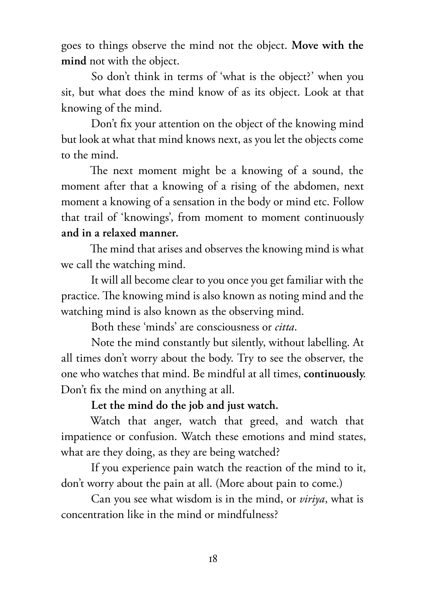goes to things observe the mind not the object. **Move with the mind** not with the object.

So don't think in terms of 'what is the object?' when you sit, but what does the mind know of as its object. Look at that knowing of the mind.

Don't fix your attention on the object of the knowing mind but look at what that mind knows next, as you let the objects come to the mind.

The next moment might be a knowing of a sound, the moment after that a knowing of a rising of the abdomen, next moment a knowing of a sensation in the body or mind etc. Follow that trail of 'knowings', from moment to moment continuously **and in a relaxed manner.**

The mind that arises and observes the knowing mind is what we call the watching mind.

It will all become clear to you once you get familiar with the practice. The knowing mind is also known as noting mind and the watching mind is also known as the observing mind.

Both these 'minds' are consciousness or *citta*.

Note the mind constantly but silently, without labelling. At all times don't worry about the body. Try to see the observer, the one who watches that mind. Be mindful at all times, **continuously**. Don't fix the mind on anything at all.

**Let the mind do the job and just watch.**

Watch that anger, watch that greed, and watch that impatience or confusion. Watch these emotions and mind states, what are they doing, as they are being watched?

If you experience pain watch the reaction of the mind to it, don't worry about the pain at all. (More about pain to come.)

Can you see what wisdom is in the mind, or *viriya*, what is concentration like in the mind or mindfulness?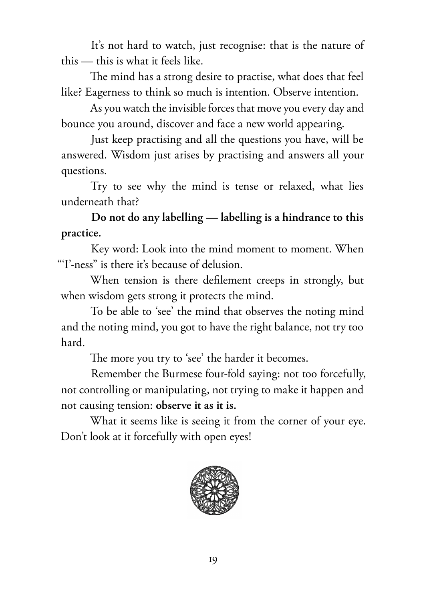It's not hard to watch, just recognise: that is the nature of this — this is what it feels like.

The mind has a strong desire to practise, what does that feel like? Eagerness to think so much is intention. Observe intention.

As you watch the invisible forces that move you every day and bounce you around, discover and face a new world appearing.

Just keep practising and all the questions you have, will be answered. Wisdom just arises by practising and answers all your questions.

Try to see why the mind is tense or relaxed, what lies underneath that?

**Do not do any labelling — labelling is a hindrance to this practice.**

Key word: Look into the mind moment to moment. When "'I'-ness" is there it's because of delusion.

When tension is there defilement creeps in strongly, but when wisdom gets strong it protects the mind.

To be able to 'see' the mind that observes the noting mind and the noting mind, you got to have the right balance, not try too hard.

The more you try to 'see' the harder it becomes.

Remember the Burmese four-fold saying: not too forcefully, not controlling or manipulating, not trying to make it happen and not causing tension: **observe it as it is.**

What it seems like is seeing it from the corner of your eye. Don't look at it forcefully with open eyes!

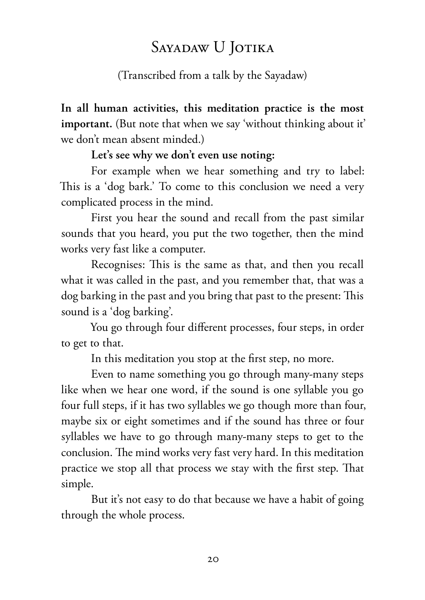## SAYADAW U JOTIKA

(Transcribed from a talk by the Sayadaw)

<span id="page-19-0"></span>**In all human activities, this meditation practice is the most important.** (But note that when we say 'without thinking about it' we don't mean absent minded.)

#### **Let's see why we don't even use noting:**

For example when we hear something and try to label: This is a 'dog bark.' To come to this conclusion we need a very complicated process in the mind.

First you hear the sound and recall from the past similar sounds that you heard, you put the two together, then the mind works very fast like a computer.

Recognises: This is the same as that, and then you recall what it was called in the past, and you remember that, that was a dog barking in the past and you bring that past to the present: This sound is a 'dog barking'.

You go through four different processes, four steps, in order to get to that.

In this meditation you stop at the first step, no more.

Even to name something you go through many-many steps like when we hear one word, if the sound is one syllable you go four full steps, if it has two syllables we go though more than four, maybe six or eight sometimes and if the sound has three or four syllables we have to go through many-many steps to get to the conclusion. The mind works very fast very hard. In this meditation practice we stop all that process we stay with the first step. That simple.

But it's not easy to do that because we have a habit of going through the whole process.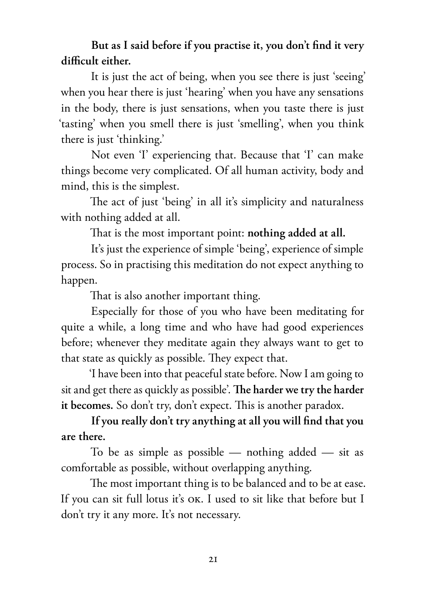#### **But as I said before if you practise it, you don't find it very difficult either.**

It is just the act of being, when you see there is just 'seeing' when you hear there is just 'hearing' when you have any sensations in the body, there is just sensations, when you taste there is just 'tasting' when you smell there is just 'smelling', when you think there is just 'thinking.'

Not even 'I' experiencing that. Because that 'I' can make things become very complicated. Of all human activity, body and mind, this is the simplest.

The act of just 'being' in all it's simplicity and naturalness with nothing added at all.

That is the most important point: **nothing added at all.** 

It's just the experience of simple 'being', experience of simple process. So in practising this meditation do not expect anything to happen.

That is also another important thing.

Especially for those of you who have been meditating for quite a while, a long time and who have had good experiences before; whenever they meditate again they always want to get to that state as quickly as possible. They expect that.

'I have been into that peaceful state before. Now I am going to sit and get there as quickly as possible'. The harder we try the harder it becomes. So don't try, don't expect. This is another paradox.

**If you really don't try anything at all you will find that you are there.**

To be as simple as possible — nothing added — sit as comfortable as possible, without overlapping anything.

The most important thing is to be balanced and to be at ease. If you can sit full lotus it's OK. I used to sit like that before but I don't try it any more. It's not necessary.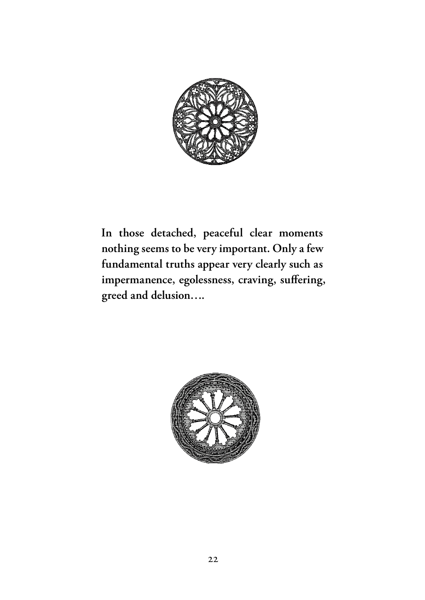

**In those detached, peaceful clear moments nothing seems to be very important. Only a few fundamental truths appear very clearly such as impermanence, egolessness, craving, suffering, greed and delusion….**

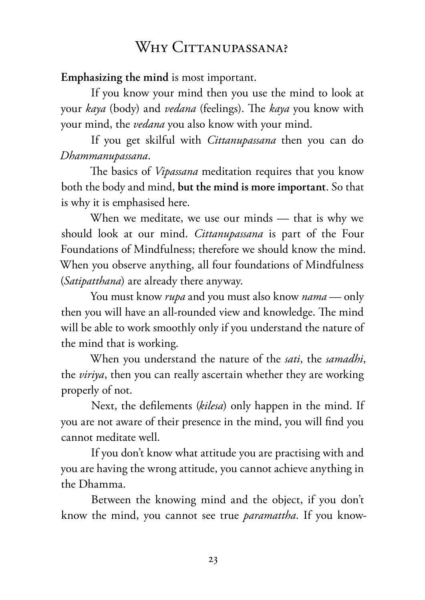### WHY CITTANUPASSANA?

<span id="page-22-0"></span>**Emphasizing the mind** is most important.

If you know your mind then you use the mind to look at your *kaya* (body) and *vedana* (feelings). The *kaya* you know with your mind, the *vedana* you also know with your mind.

If you get skilful with *Cittanupassana* then you can do *Dhammanupassana*.

The basics of *Vipassana* meditation requires that you know both the body and mind, **but the mind is more important**. So that is why it is emphasised here.

When we meditate, we use our minds — that is why we should look at our mind. *Cittanupassana* is part of the Four Foundations of Mindfulness; therefore we should know the mind. When you observe anything, all four foundations of Mindfulness (*Satipatthana*) are already there anyway.

You must know *rupa* and you must also know *nama* — only then you will have an all-rounded view and knowledge. The mind will be able to work smoothly only if you understand the nature of the mind that is working.

When you understand the nature of the *sati*, the *samadhi*, the *viriya*, then you can really ascertain whether they are working properly of not.

Next, the defilements (*kilesa*) only happen in the mind. If you are not aware of their presence in the mind, you will find you cannot meditate well.

If you don't know what attitude you are practising with and you are having the wrong attitude, you cannot achieve anything in the Dhamma.

Between the knowing mind and the object, if you don't know the mind, you cannot see true *paramattha*. If you know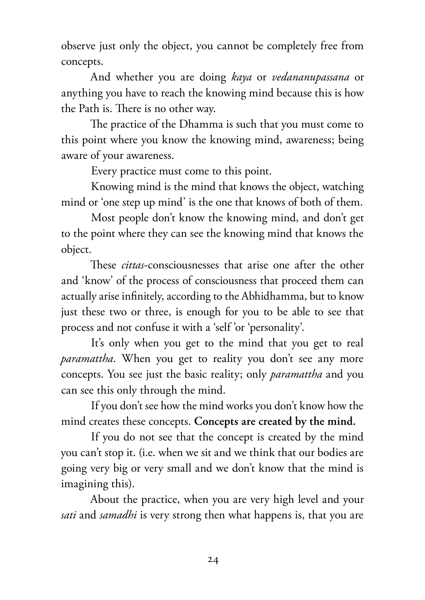observe just only the object, you cannot be completely free from concepts.

And whether you are doing *kaya* or *vedananupassana* or anything you have to reach the knowing mind because this is how the Path is. There is no other way.

The practice of the Dhamma is such that you must come to this point where you know the knowing mind, awareness; being aware of your awareness.

Every practice must come to this point.

Knowing mind is the mind that knows the object, watching mind or 'one step up mind' is the one that knows of both of them.

Most people don't know the knowing mind, and don't get to the point where they can see the knowing mind that knows the object.

These *cittas*-consciousnesses that arise one after the other and 'know' of the process of consciousness that proceed them can actually arise infinitely, according to the Abhidhamma, but to know just these two or three, is enough for you to be able to see that process and not confuse it with a 'self 'or 'personality'.

It's only when you get to the mind that you get to real *paramattha*. When you get to reality you don't see any more concepts. You see just the basic reality; only *paramattha* and you can see this only through the mind.

If you don't see how the mind works you don't know how the mind creates these concepts. **Concepts are created by the mind.**

If you do not see that the concept is created by the mind you can't stop it. (i.e. when we sit and we think that our bodies are going very big or very small and we don't know that the mind is imagining this).

About the practice, when you are very high level and your *sati* and *samadhi* is very strong then what happens is, that you are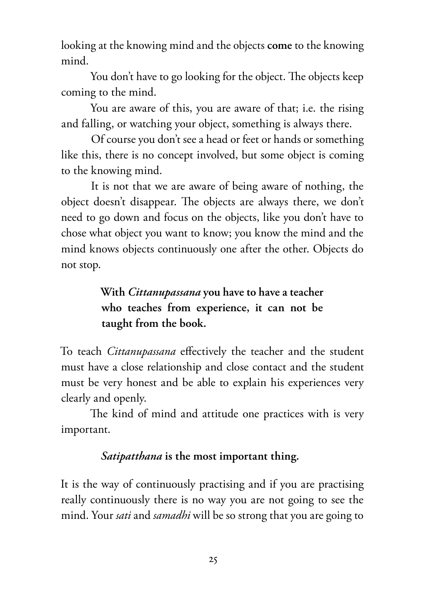looking at the knowing mind and the objects **come** to the knowing mind.

You don't have to go looking for the object. The objects keep coming to the mind.

You are aware of this, you are aware of that; i.e. the rising and falling, or watching your object, something is always there.

Of course you don't see a head or feet or hands or something like this, there is no concept involved, but some object is coming to the knowing mind.

It is not that we are aware of being aware of nothing, the object doesn't disappear. The objects are always there, we don't need to go down and focus on the objects, like you don't have to chose what object you want to know; you know the mind and the mind knows objects continuously one after the other. Objects do not stop.

#### **With** *Cittanupassana* **you have to have a teacher who teaches from experience, it can not be taught from the book.**

To teach *Cittanupassana* effectively the teacher and the student must have a close relationship and close contact and the student must be very honest and be able to explain his experiences very clearly and openly.

The kind of mind and attitude one practices with is very important.

#### *Satipatthana* **is the most important thing.**

It is the way of continuously practising and if you are practising really continuously there is no way you are not going to see the mind. Your *sati* and *samadhi* will be so strong that you are going to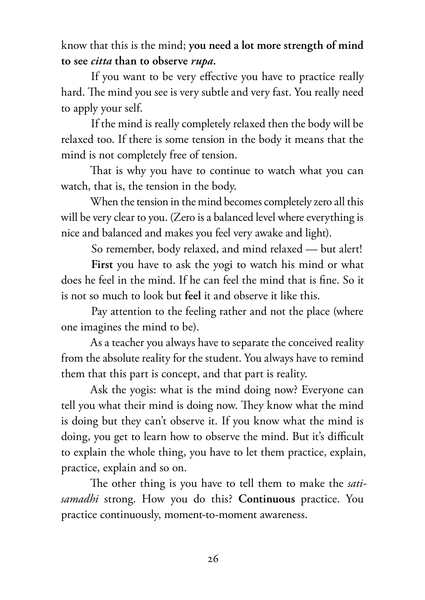know that this is the mind; **you need a lot more strength of mind to see** *citta* **than to observe** *rupa***.**

If you want to be very effective you have to practice really hard. The mind you see is very subtle and very fast. You really need to apply your self.

If the mind is really completely relaxed then the body will be relaxed too. If there is some tension in the body it means that the mind is not completely free of tension.

That is why you have to continue to watch what you can watch, that is, the tension in the body.

When the tension in the mind becomes completely zero all this will be very clear to you. (Zero is a balanced level where everything is nice and balanced and makes you feel very awake and light).

So remember, body relaxed, and mind relaxed — but alert!

**First** you have to ask the yogi to watch his mind or what does he feel in the mind. If he can feel the mind that is fine. So it is not so much to look but **feel** it and observe it like this.

Pay attention to the feeling rather and not the place (where one imagines the mind to be).

As a teacher you always have to separate the conceived reality from the absolute reality for the student. You always have to remind them that this part is concept, and that part is reality.

Ask the yogis: what is the mind doing now? Everyone can tell you what their mind is doing now. They know what the mind is doing but they can't observe it. If you know what the mind is doing, you get to learn how to observe the mind. But it's difficult to explain the whole thing, you have to let them practice, explain, practice, explain and so on.

The other thing is you have to tell them to make the *satisamadhi* strong. How you do this? **Continuous** practice. You practice continuously, moment-to-moment awareness.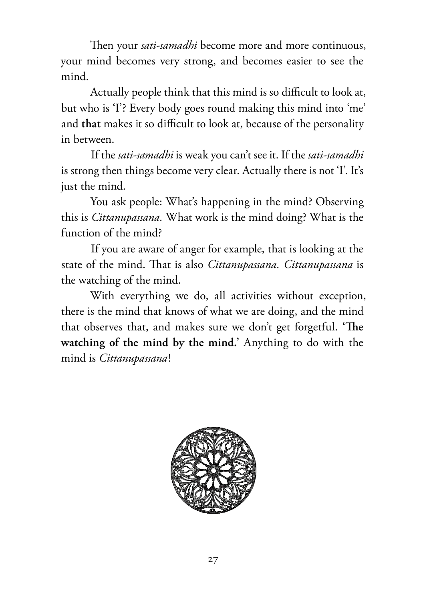Then your *sati-samadhi* become more and more continuous, your mind becomes very strong, and becomes easier to see the mind.

Actually people think that this mind is so difficult to look at, but who is 'I'? Every body goes round making this mind into 'me' and **that** makes it so difficult to look at, because of the personality in between.

If the *sati-samadhi* is weak you can't see it. If the *sati-samadhi* is strong then things become very clear. Actually there is not 'I'. It's just the mind.

You ask people: What's happening in the mind? Observing this is *Cittanupassana.* What work is the mind doing? What is the function of the mind?

If you are aware of anger for example, that is looking at the state of the mind. That is also *Cittanupassana*. Cittanupassana is the watching of the mind.

With everything we do, all activities without exception, there is the mind that knows of what we are doing, and the mind that observes that, and makes sure we don't get forgetful. 'The **watching of the mind by the mind.'** Anything to do with the mind is *Cittanupassana*!

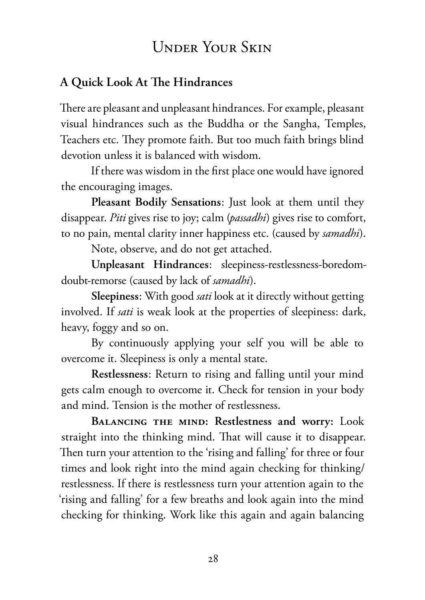## **UNDER YOUR SKIN**

#### <span id="page-27-0"></span>**A Quick Look At The Hindrances**

There are pleasant and unpleasant hindrances. For example, pleasant visual hindrances such as the Buddha or the Sangha, Temples, Teachers etc. They promote faith. But too much faith brings blind devotion unless it is balanced with wisdom.

If there was wisdom in the first place one would have ignored the encouraging images.

**Pleasant Bodily Sensations**: Just look at them until they disappear. *Piti* gives rise to joy; calm (*passadhi*) gives rise to comfort, to no pain, mental clarity inner happiness etc. (caused by *samadhi*).

Note, observe, and do not get attached.

**Unpleasant Hindrances**: sleepiness-restlessness-boredomdoubt-remorse (caused by lack of *samadhi*).

**Sleepiness**: With good *sati* look at it directly without getting involved. If *sati* is weak look at the properties of sleepiness: dark, heavy, foggy and so on.

By continuously applying your self you will be able to overcome it. Sleepiness is only a mental state.

**Restlessness**: Return to rising and falling until your mind gets calm enough to overcome it. Check for tension in your body and mind. Tension is the mother of restlessness.

BALANCING THE MIND: Restlestness and worry: Look straight into the thinking mind. That will cause it to disappear. Then turn your attention to the 'rising and falling' for three or four times and look right into the mind again checking for thinking/ restlessness. If there is restlessness turn your attention again to the 'rising and falling' for a few breaths and look again into the mind checking for thinking. Work like this again and again balancing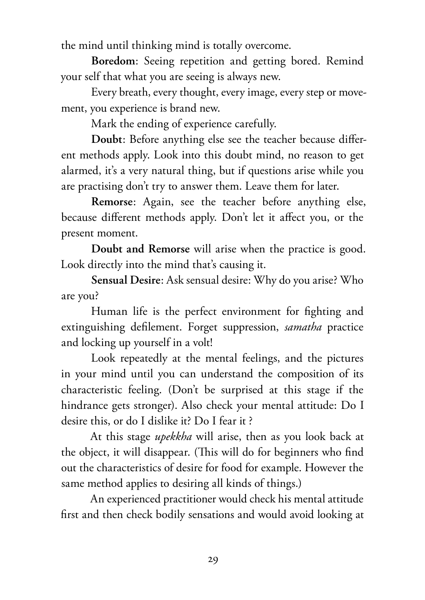the mind until thinking mind is totally overcome.

**Boredom**: Seeing repetition and getting bored. Remind your self that what you are seeing is always new.

Every breath, every thought, every image, every step or movement, you experience is brand new.

Mark the ending of experience carefully.

**Doubt**: Before anything else see the teacher because different methods apply. Look into this doubt mind, no reason to get alarmed, it's a very natural thing, but if questions arise while you are practising don't try to answer them. Leave them for later.

**Remorse**: Again, see the teacher before anything else, because different methods apply. Don't let it affect you, or the present moment.

**Doubt and Remorse** will arise when the practice is good. Look directly into the mind that's causing it.

**Sensual Desire**: Ask sensual desire: Why do you arise? Who are you?

Human life is the perfect environment for fighting and extinguishing defilement. Forget suppression, *samatha* practice and locking up yourself in a volt!

Look repeatedly at the mental feelings, and the pictures in your mind until you can understand the composition of its characteristic feeling. (Don't be surprised at this stage if the hindrance gets stronger). Also check your mental attitude: Do I desire this, or do I dislike it? Do I fear it ?

At this stage *upekkha* will arise, then as you look back at the object, it will disappear. (This will do for beginners who find out the characteristics of desire for food for example. However the same method applies to desiring all kinds of things.)

An experienced practitioner would check his mental attitude first and then check bodily sensations and would avoid looking at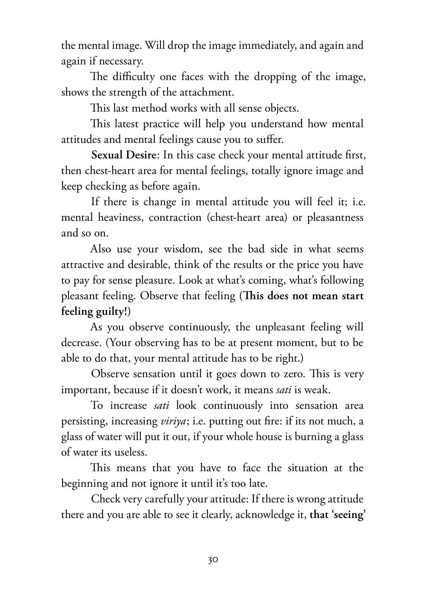the mental image. Will drop the image immediately, and again and again if necessary.

The difficulty one faces with the dropping of the image, shows the strength of the attachment.

This last method works with all sense objects.

This latest practice will help you understand how mental attitudes and mental feelings cause you to suffer.

**Sexual Desire**: In this case check your mental attitude first, then chest-heart area for mental feelings, totally ignore image and keep checking as before again.

If there is change in mental attitude you will feel it; i.e. mental heaviness, contraction (chest-heart area) or pleasantness and so on.

Also use your wisdom, see the bad side in what seems attractive and desirable, think of the results or the price you have to pay for sense pleasure. Look at what's coming, what's following pleasant feeling. Observe that feeling (This does not mean start **feeling guilty!)**

As you observe continuously, the unpleasant feeling will decrease. (Your observing has to be at present moment, but to be able to do that, your mental attitude has to be right.)

Observe sensation until it goes down to zero. This is very important, because if it doesn't work, it means *sati* is weak.

To increase *sati* look continuously into sensation area persisting, increasing *viriya*; i.e. putting out fire: if its not much, a glass of water will put it out, if your whole house is burning a glass of water its useless.

This means that you have to face the situation at the beginning and not ignore it until it's too late.

Check very carefully your attitude: If there is wrong attitude there and you are able to see it clearly, acknowledge it, **that 'seeing'**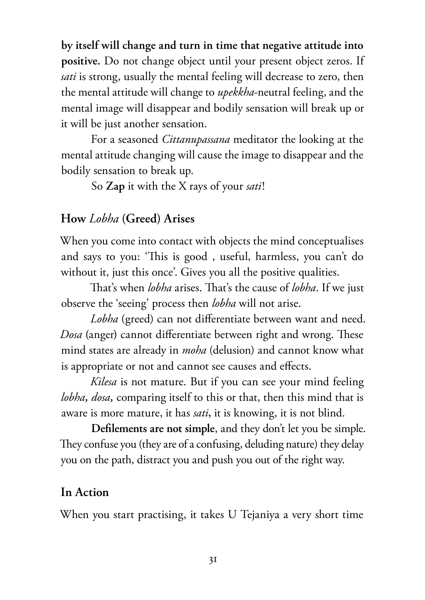<span id="page-30-0"></span>**by itself will change and turn in time that negative attitude into positive.** Do not change object until your present object zeros. If *sati* is strong, usually the mental feeling will decrease to zero, then the mental attitude will change to *upekkha*-neutral feeling, and the mental image will disappear and bodily sensation will break up or it will be just another sensation.

For a seasoned *Cittanupassana* meditator the looking at the mental attitude changing will cause the image to disappear and the bodily sensation to break up.

So **Zap** it with the X rays of your *sati*!

#### **How** *Lobha* **(Greed) Arises**

When you come into contact with objects the mind conceptualises and says to you: 'This is good , useful, harmless, you can't do without it, just this once'. Gives you all the positive qualities.

That's when *lobha* arises. That's the cause of *lobha*. If we just observe the 'seeing' process then *lobha* will not arise.

*Lobha* (greed) can not differentiate between want and need. *Dosa* (anger) cannot differentiate between right and wrong. These mind states are already in *moha* (delusion) and cannot know what is appropriate or not and cannot see causes and effects.

*Kilesa* is not mature. But if you can see your mind feeling *lobha, dosa,* comparing itself to this or that, then this mind that is aware is more mature, it has *sati***,** it is knowing, it is not blind.

**Defilements are not simple**, and they don't let you be simple. They confuse you (they are of a confusing, deluding nature) they delay you on the path, distract you and push you out of the right way.

#### **In Action**

When you start practising, it takes U Tejaniya a very short time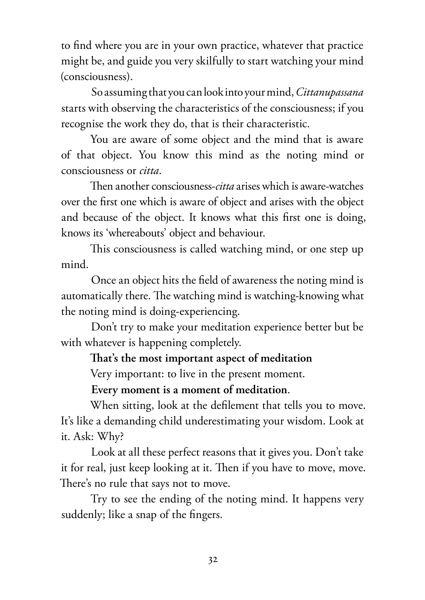to find where you are in your own practice, whatever that practice might be, and guide you very skilfully to start watching your mind (consciousness).

So assuming that you can look into your mind, *Cittanupassana* starts with observing the characteristics of the consciousness; if you recognise the work they do, that is their characteristic.

You are aware of some object and the mind that is aware of that object. You know this mind as the noting mind or consciousness or *citta*.

en another consciousness-*citta* arises which is aware-watches over the first one which is aware of object and arises with the object and because of the object. It knows what this first one is doing, knows its 'whereabouts' object and behaviour.

This consciousness is called watching mind, or one step up mind.

Once an object hits the field of awareness the noting mind is automatically there. The watching mind is watching-knowing what the noting mind is doing-experiencing.

Don't try to make your meditation experience better but be with whatever is happening completely.

#### That's the most important aspect of meditation

Very important: to live in the present moment.

**Every moment is a moment of meditation**.

When sitting, look at the defilement that tells you to move. It's like a demanding child underestimating your wisdom. Look at it. Ask: Why?

Look at all these perfect reasons that it gives you. Don't take it for real, just keep looking at it. Then if you have to move, move. There's no rule that says not to move.

Try to see the ending of the noting mind. It happens very suddenly; like a snap of the fingers.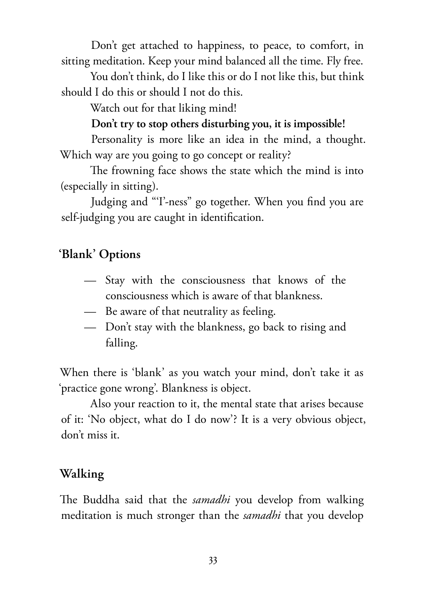<span id="page-32-0"></span>Don't get attached to happiness, to peace, to comfort, in sitting meditation. Keep your mind balanced all the time. Fly free.

You don't think, do I like this or do I not like this, but think should I do this or should I not do this.

Watch out for that liking mind!

**Don't try to stop others disturbing you, it is impossible!**

Personality is more like an idea in the mind, a thought. Which way are you going to go concept or reality?

The frowning face shows the state which the mind is into (especially in sitting).

Judging and "'I'-ness" go together. When you find you are self-judging you are caught in identification.

#### **'Blank' Options**

- Stay with the consciousness that knows of the consciousness which is aware of that blankness.
- Be aware of that neutrality as feeling.
- Don't stay with the blankness, go back to rising and falling.

When there is 'blank' as you watch your mind, don't take it as 'practice gone wrong'. Blankness is object.

Also your reaction to it, the mental state that arises because of it: 'No object, what do I do now'? It is a very obvious object, don't miss it.

#### **Walking**

The Buddha said that the *samadhi* you develop from walking meditation is much stronger than the *samadhi* that you develop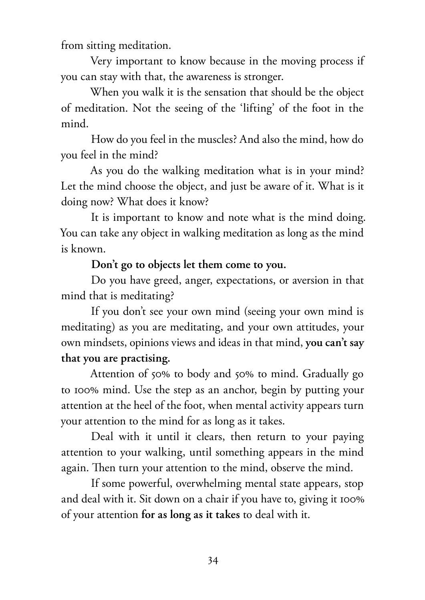from sitting meditation.

Very important to know because in the moving process if you can stay with that, the awareness is stronger.

When you walk it is the sensation that should be the object of meditation. Not the seeing of the 'lifting' of the foot in the mind.

How do you feel in the muscles? And also the mind, how do you feel in the mind?

As you do the walking meditation what is in your mind? Let the mind choose the object, and just be aware of it. What is it doing now? What does it know?

It is important to know and note what is the mind doing. You can take any object in walking meditation as long as the mind is known.

#### **Don't go to objects let them come to you.**

Do you have greed, anger, expectations, or aversion in that mind that is meditating?

If you don't see your own mind (seeing your own mind is meditating) as you are meditating, and your own attitudes, your own mindsets, opinions views and ideas in that mind, **you can't say that you are practising.**

Attention of 50% to body and 50% to mind. Gradually go to 100% mind. Use the step as an anchor, begin by putting your attention at the heel of the foot, when mental activity appears turn your attention to the mind for as long as it takes.

Deal with it until it clears, then return to your paying attention to your walking, until something appears in the mind again. Then turn your attention to the mind, observe the mind.

If some powerful, overwhelming mental state appears, stop and deal with it. Sit down on a chair if you have to, giving it of your attention **for as long as it takes** to deal with it.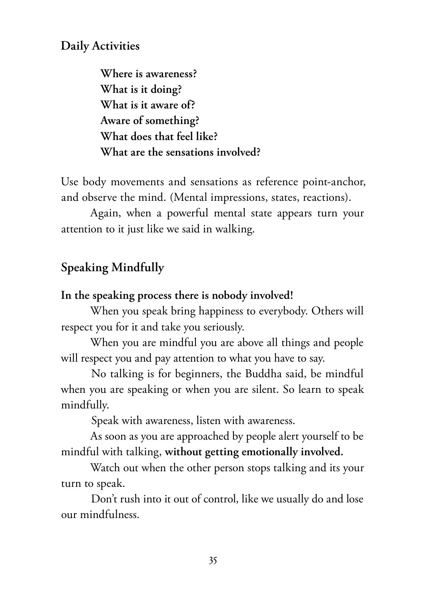#### <span id="page-34-0"></span>**Daily Activities**

**Where is awareness? What is it doing? What is it aware of? Aware of something? What does that feel like? What are the sensations involved?**

Use body movements and sensations as reference point-anchor, and observe the mind. (Mental impressions, states, reactions).

Again, when a powerful mental state appears turn your attention to it just like we said in walking.

#### **Speaking Mindfully**

#### **In the speaking process there is nobody involved!**

When you speak bring happiness to everybody. Others will respect you for it and take you seriously.

When you are mindful you are above all things and people will respect you and pay attention to what you have to say.

No talking is for beginners, the Buddha said, be mindful when you are speaking or when you are silent. So learn to speak mindfully.

Speak with awareness, listen with awareness.

As soon as you are approached by people alert yourself to be mindful with talking, **without getting emotionally involved.**

Watch out when the other person stops talking and its your turn to speak.

Don't rush into it out of control, like we usually do and lose our mindfulness.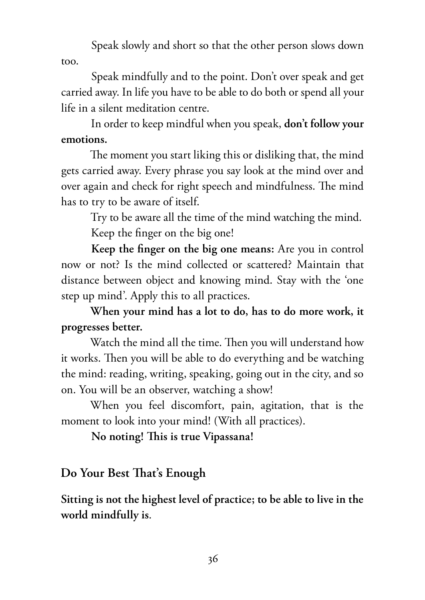<span id="page-35-0"></span>Speak slowly and short so that the other person slows down too.

Speak mindfully and to the point. Don't over speak and get carried away. In life you have to be able to do both or spend all your life in a silent meditation centre.

In order to keep mindful when you speak, **don't follow your emotions.**

The moment you start liking this or disliking that, the mind gets carried away. Every phrase you say look at the mind over and over again and check for right speech and mindfulness. The mind has to try to be aware of itself.

Try to be aware all the time of the mind watching the mind. Keep the finger on the big one!

**Keep the finger on the big one means:** Are you in control now or not? Is the mind collected or scattered? Maintain that distance between object and knowing mind. Stay with the 'one step up mind'. Apply this to all practices.

**When your mind has a lot to do, has to do more work, it progresses better.**

Watch the mind all the time. Then you will understand how it works. Then you will be able to do everything and be watching the mind: reading, writing, speaking, going out in the city, and so on. You will be an observer, watching a show!

When you feel discomfort, pain, agitation, that is the moment to look into your mind! (With all practices).

No noting! This is true Vipassana!

#### **Do Your Best That's Enough**

**Sitting is not the highest level of practice; to be able to live in the world mindfully is**.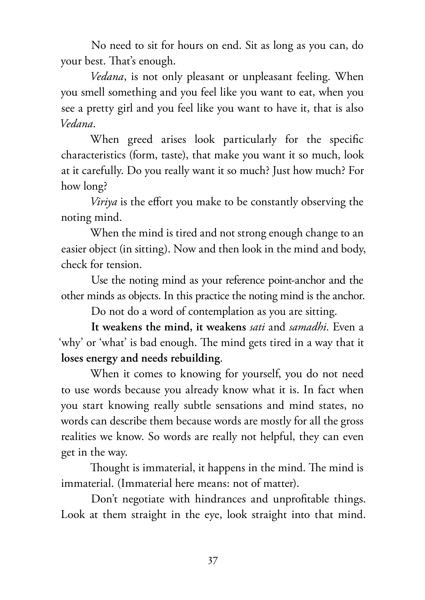No need to sit for hours on end. Sit as long as you can, do your best. That's enough.

*Vedana*, is not only pleasant or unpleasant feeling. When you smell something and you feel like you want to eat, when you see a pretty girl and you feel like you want to have it, that is also *Vedana*.

When greed arises look particularly for the specific characteristics (form, taste), that make you want it so much, look at it carefully. Do you really want it so much? Just how much? For how long?

*Viriya* is the effort you make to be constantly observing the noting mind.

When the mind is tired and not strong enough change to an easier object (in sitting). Now and then look in the mind and body, check for tension.

Use the noting mind as your reference point-anchor and the other minds as objects. In this practice the noting mind is the anchor.

Do not do a word of contemplation as you are sitting.

**It weakens the mind, it weakens** *sati* and *samadhi*. Even a 'why' or 'what' is bad enough. The mind gets tired in a way that it **loses energy and needs rebuilding**.

When it comes to knowing for yourself, you do not need to use words because you already know what it is. In fact when you start knowing really subtle sensations and mind states, no words can describe them because words are mostly for all the gross realities we know. So words are really not helpful, they can even get in the way.

Thought is immaterial, it happens in the mind. The mind is immaterial. (Immaterial here means: not of matter).

Don't negotiate with hindrances and unprofitable things. Look at them straight in the eye, look straight into that mind.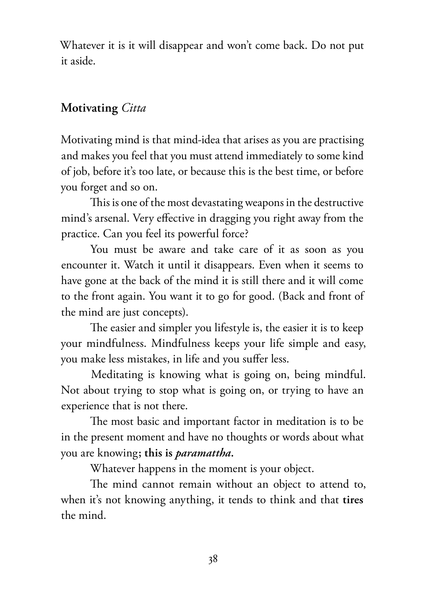Whatever it is it will disappear and won't come back. Do not put it aside.

# **Motivating** *Citta*

Motivating mind is that mind-idea that arises as you are practising and makes you feel that you must attend immediately to some kind of job, before it's too late, or because this is the best time, or before you forget and so on.

This is one of the most devastating weapons in the destructive mind's arsenal. Very effective in dragging you right away from the practice. Can you feel its powerful force?

You must be aware and take care of it as soon as you encounter it. Watch it until it disappears. Even when it seems to have gone at the back of the mind it is still there and it will come to the front again. You want it to go for good. (Back and front of the mind are just concepts).

The easier and simpler you lifestyle is, the easier it is to keep your mindfulness. Mindfulness keeps your life simple and easy, you make less mistakes, in life and you suffer less.

Meditating is knowing what is going on, being mindful. Not about trying to stop what is going on, or trying to have an experience that is not there.

The most basic and important factor in meditation is to be in the present moment and have no thoughts or words about what you are knowing**; this is** *paramattha***.**

Whatever happens in the moment is your object.

The mind cannot remain without an object to attend to, when it's not knowing anything, it tends to think and that **tires** the mind.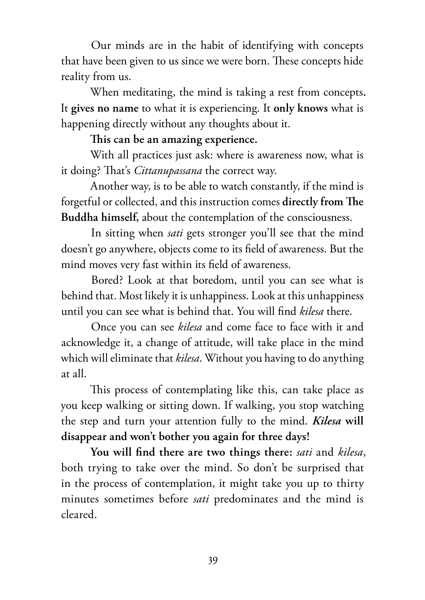Our minds are in the habit of identifying with concepts that have been given to us since we were born. These concepts hide reality from us.

When meditating, the mind is taking a rest from concepts**.**  It **gives no name** to what it is experiencing. It **only knows** what is happening directly without any thoughts about it.

#### This can be an amazing experience.

With all practices just ask: where is awareness now, what is it doing? That's *Cittanupassana* the correct way.

Another way, is to be able to watch constantly, if the mind is forgetful or collected, and this instruction comes directly from The **Buddha himself,** about the contemplation of the consciousness.

In sitting when *sati* gets stronger you'll see that the mind doesn't go anywhere, objects come to its field of awareness. But the mind moves very fast within its field of awareness.

Bored? Look at that boredom, until you can see what is behind that. Most likely it is unhappiness. Look at this unhappiness until you can see what is behind that. You will find *kilesa* there.

Once you can see *kilesa* and come face to face with it and acknowledge it, a change of attitude, will take place in the mind which will eliminate that *kilesa*. Without you having to do anything at all.

This process of contemplating like this, can take place as you keep walking or sitting down. If walking, you stop watching the step and turn your attention fully to the mind. *Kilesa* **will disappear and won't bother you again for three days!**

**You will find there are two things there:** *sati* and *kilesa*, both trying to take over the mind. So don't be surprised that in the process of contemplation, it might take you up to thirty minutes sometimes before *sati* predominates and the mind is cleared.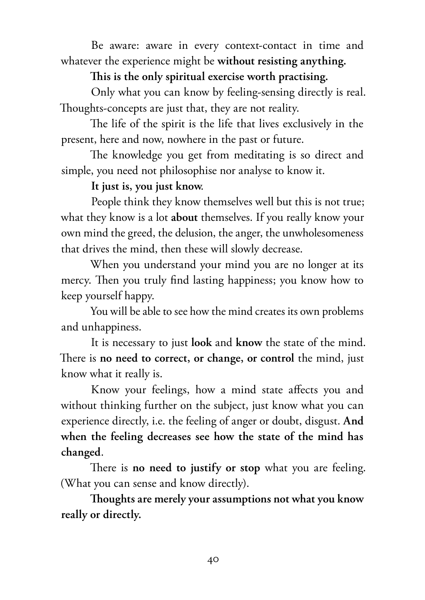Be aware: aware in every context-contact in time and whatever the experience might be **without resisting anything.**

#### This is the only spiritual exercise worth practising.

Only what you can know by feeling-sensing directly is real. Thoughts-concepts are just that, they are not reality.

The life of the spirit is the life that lives exclusively in the present, here and now, nowhere in the past or future.

The knowledge you get from meditating is so direct and simple, you need not philosophise nor analyse to know it.

#### **It just is, you just know**.

People think they know themselves well but this is not true; what they know is a lot **about** themselves. If you really know your own mind the greed, the delusion, the anger, the unwholesomeness that drives the mind, then these will slowly decrease.

When you understand your mind you are no longer at its mercy. Then you truly find lasting happiness; you know how to keep yourself happy.

You will be able to see how the mind creates its own problems and unhappiness.

It is necessary to just **look** and **know** the state of the mind. There is no need to correct, or change, or control the mind, just know what it really is.

Know your feelings, how a mind state affects you and without thinking further on the subject, just know what you can experience directly, i.e. the feeling of anger or doubt, disgust. **And when the feeling decreases see how the state of the mind has changed**.

There is **no need to justify or stop** what you are feeling. (What you can sense and know directly).

Thoughts are merely your assumptions not what you know **really or directly.**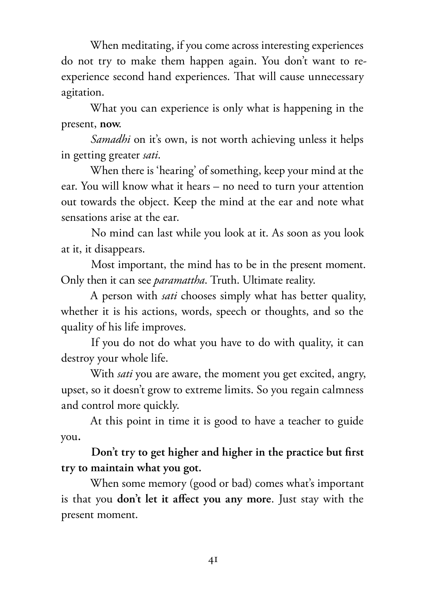When meditating, if you come across interesting experiences do not try to make them happen again. You don't want to reexperience second hand experiences. That will cause unnecessary agitation.

What you can experience is only what is happening in the present, **now**.

*Samadhi* on it's own, is not worth achieving unless it helps in getting greater *sati*.

When there is 'hearing' of something, keep your mind at the ear. You will know what it hears – no need to turn your attention out towards the object. Keep the mind at the ear and note what sensations arise at the ear.

No mind can last while you look at it. As soon as you look at it, it disappears.

Most important, the mind has to be in the present moment. Only then it can see *paramattha*. Truth. Ultimate reality.

A person with *sati* chooses simply what has better quality, whether it is his actions, words, speech or thoughts, and so the quality of his life improves.

If you do not do what you have to do with quality, it can destroy your whole life.

With *sati* you are aware, the moment you get excited, angry, upset, so it doesn't grow to extreme limits. So you regain calmness and control more quickly.

At this point in time it is good to have a teacher to guide you**.**

**Don't try to get higher and higher in the practice but first try to maintain what you got.**

When some memory (good or bad) comes what's important is that you **don't let it affect you any more**. Just stay with the present moment.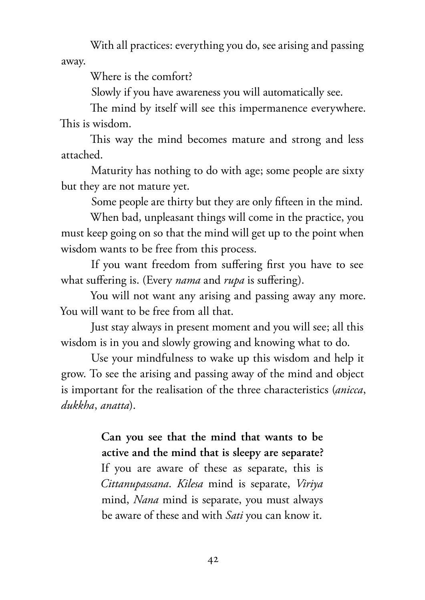With all practices: everything you do, see arising and passing away.

Where is the comfort?

Slowly if you have awareness you will automatically see.

The mind by itself will see this impermanence everywhere. This is wisdom.

This way the mind becomes mature and strong and less attached.

Maturity has nothing to do with age; some people are sixty but they are not mature yet.

Some people are thirty but they are only fifteen in the mind.

When bad, unpleasant things will come in the practice, you must keep going on so that the mind will get up to the point when wisdom wants to be free from this process.

If you want freedom from suffering first you have to see what suffering is. (Every *nama* and *rupa* is suffering).

You will not want any arising and passing away any more. You will want to be free from all that.

Just stay always in present moment and you will see; all this wisdom is in you and slowly growing and knowing what to do.

Use your mindfulness to wake up this wisdom and help it grow. To see the arising and passing away of the mind and object is important for the realisation of the three characteristics (*anicca*, *dukkha*, *anatta*).

> **Can you see that the mind that wants to be active and the mind that is sleepy are separate?**  If you are aware of these as separate, this is *Cittanupassana*. *Kilesa* mind is separate, *Viriya* mind, *Nana* mind is separate, you must always be aware of these and with *Sati* you can know it.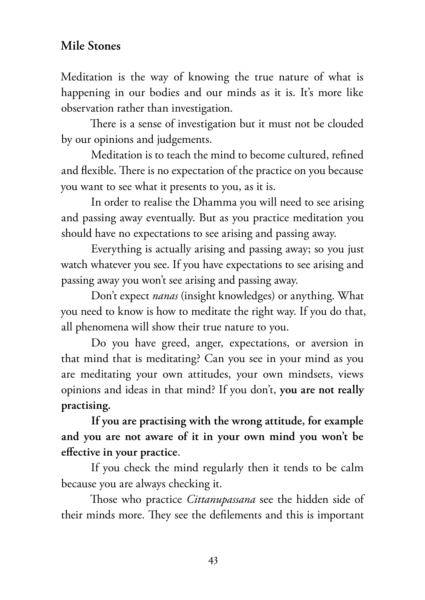### **Mile Stones**

Meditation is the way of knowing the true nature of what is happening in our bodies and our minds as it is. It's more like observation rather than investigation.

There is a sense of investigation but it must not be clouded by our opinions and judgements.

Meditation is to teach the mind to become cultured, refined and flexible. There is no expectation of the practice on you because you want to see what it presents to you, as it is.

In order to realise the Dhamma you will need to see arising and passing away eventually. But as you practice meditation you should have no expectations to see arising and passing away.

Everything is actually arising and passing away; so you just watch whatever you see. If you have expectations to see arising and passing away you won't see arising and passing away.

Don't expect *nanas* (insight knowledges) or anything. What you need to know is how to meditate the right way. If you do that, all phenomena will show their true nature to you.

Do you have greed, anger, expectations, or aversion in that mind that is meditating? Can you see in your mind as you are meditating your own attitudes, your own mindsets, views opinions and ideas in that mind? If you don't, **you are not really practising.**

**If you are practising with the wrong attitude, for example and you are not aware of it in your own mind you won't be effective in your practice**.

If you check the mind regularly then it tends to be calm because you are always checking it.

Those who practice *Cittanupassana* see the hidden side of their minds more. They see the defilements and this is important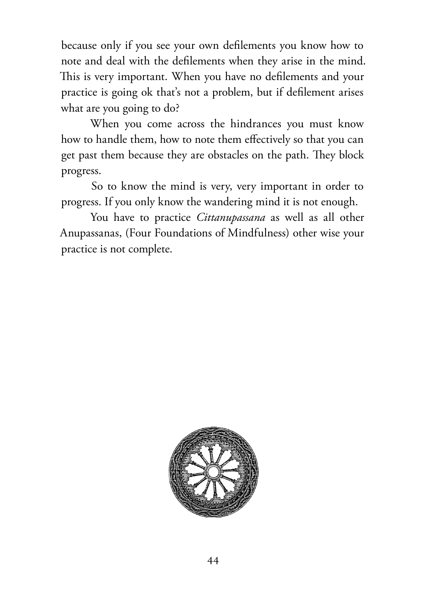because only if you see your own defilements you know how to note and deal with the defilements when they arise in the mind. This is very important. When you have no defilements and your practice is going ok that's not a problem, but if defilement arises what are you going to do?

When you come across the hindrances you must know how to handle them, how to note them effectively so that you can get past them because they are obstacles on the path. They block progress.

So to know the mind is very, very important in order to progress. If you only know the wandering mind it is not enough.

You have to practice *Cittanupassana* as well as all other Anupassanas, (Four Foundations of Mindfulness) other wise your practice is not complete.

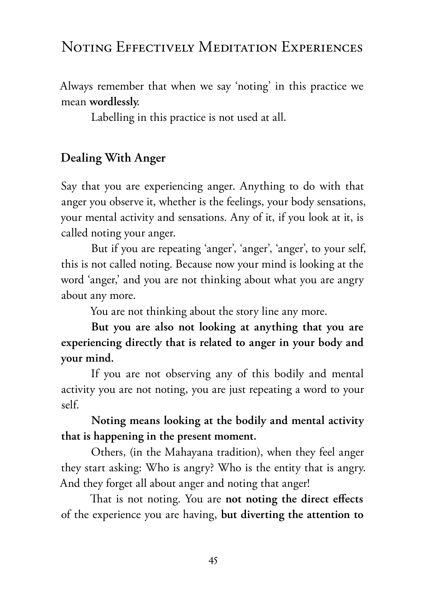# NOTING EFFECTIVELY MEDITATION EXPERIENCES

Always remember that when we say 'noting' in this practice we mean **wordlessly**.

Labelling in this practice is not used at all.

# **Dealing With Anger**

Say that you are experiencing anger. Anything to do with that anger you observe it, whether is the feelings, your body sensations, your mental activity and sensations. Any of it, if you look at it, is called noting your anger.

But if you are repeating 'anger', 'anger', 'anger', to your self, this is not called noting. Because now your mind is looking at the word 'anger,' and you are not thinking about what you are angry about any more.

You are not thinking about the story line any more.

**But you are also not looking at anything that you are experiencing directly that is related to anger in your body and your mind.**

If you are not observing any of this bodily and mental activity you are not noting, you are just repeating a word to your self.

**Noting means looking at the bodily and mental activity that is happening in the present moment.**

Others, (in the Mahayana tradition), when they feel anger they start asking: Who is angry? Who is the entity that is angry. And they forget all about anger and noting that anger!

That is not noting. You are **not noting the direct effects** of the experience you are having, **but diverting the attention to**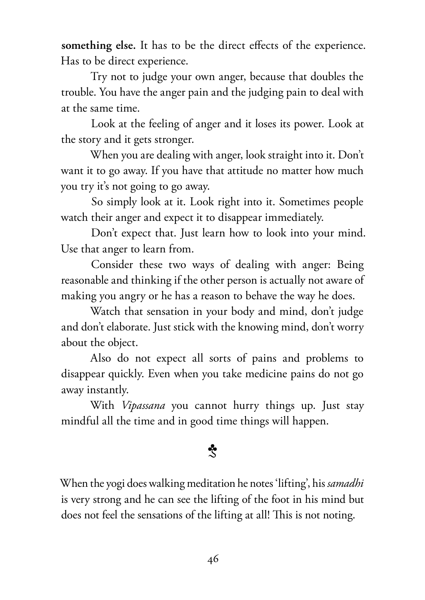**something else.** It has to be the direct effects of the experience. Has to be direct experience.

Try not to judge your own anger, because that doubles the trouble. You have the anger pain and the judging pain to deal with at the same time.

Look at the feeling of anger and it loses its power. Look at the story and it gets stronger.

When you are dealing with anger, look straight into it. Don't want it to go away. If you have that attitude no matter how much you try it's not going to go away.

So simply look at it. Look right into it. Sometimes people watch their anger and expect it to disappear immediately.

Don't expect that. Just learn how to look into your mind. Use that anger to learn from.

Consider these two ways of dealing with anger: Being reasonable and thinking if the other person is actually not aware of making you angry or he has a reason to behave the way he does.

Watch that sensation in your body and mind, don't judge and don't elaborate. Just stick with the knowing mind, don't worry about the object.

Also do not expect all sorts of pains and problems to disappear quickly. Even when you take medicine pains do not go away instantly.

With *Vipassana* you cannot hurry things up. Just stay mindful all the time and in good time things will happen.

# $\frac{1}{\sqrt{2}}$

When the yogi does walking meditation he notes 'lifting', his *samadhi* is very strong and he can see the lifting of the foot in his mind but does not feel the sensations of the lifting at all! This is not noting.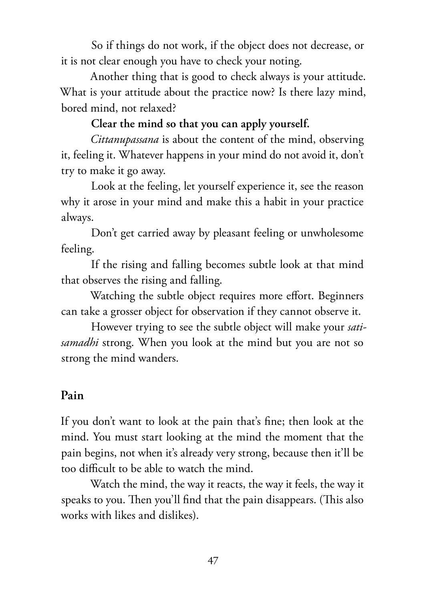So if things do not work, if the object does not decrease, or it is not clear enough you have to check your noting.

Another thing that is good to check always is your attitude. What is your attitude about the practice now? Is there lazy mind, bored mind, not relaxed?

### **Clear the mind so that you can apply yourself.**

*Cittanupassana* is about the content of the mind, observing it, feeling it. Whatever happens in your mind do not avoid it, don't try to make it go away.

Look at the feeling, let yourself experience it, see the reason why it arose in your mind and make this a habit in your practice always.

Don't get carried away by pleasant feeling or unwholesome feeling.

If the rising and falling becomes subtle look at that mind that observes the rising and falling.

Watching the subtle object requires more effort. Beginners can take a grosser object for observation if they cannot observe it.

However trying to see the subtle object will make your *satisamadhi* strong. When you look at the mind but you are not so strong the mind wanders.

# **Pain**

If you don't want to look at the pain that's fine; then look at the mind. You must start looking at the mind the moment that the pain begins, not when it's already very strong, because then it'll be too difficult to be able to watch the mind.

Watch the mind, the way it reacts, the way it feels, the way it speaks to you. Then you'll find that the pain disappears. (This also works with likes and dislikes).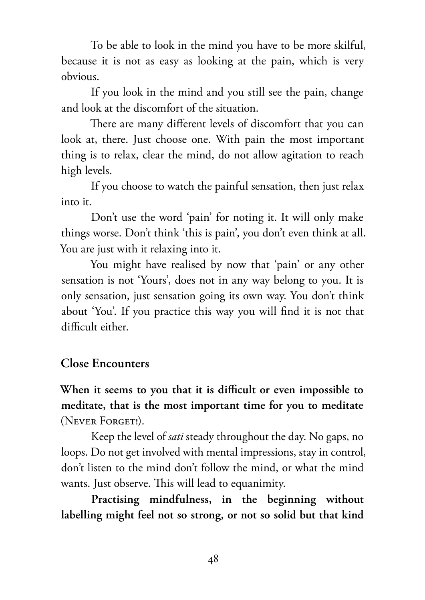To be able to look in the mind you have to be more skilful, because it is not as easy as looking at the pain, which is very obvious.

If you look in the mind and you still see the pain, change and look at the discomfort of the situation.

There are many different levels of discomfort that you can look at, there. Just choose one. With pain the most important thing is to relax, clear the mind, do not allow agitation to reach high levels.

If you choose to watch the painful sensation, then just relax into it.

Don't use the word 'pain' for noting it. It will only make things worse. Don't think 'this is pain', you don't even think at all. You are just with it relaxing into it.

You might have realised by now that 'pain' or any other sensation is not 'Yours', does not in any way belong to you. It is only sensation, just sensation going its own way. You don't think about 'You'. If you practice this way you will find it is not that difficult either.

### **Close Encounters**

**When it seems to you that it is difficult or even impossible to meditate, that is the most important time for you to meditate**  (NEVER FORGET!).

Keep the level of *sati* steady throughout the day. No gaps, no loops. Do not get involved with mental impressions, stay in control, don't listen to the mind don't follow the mind, or what the mind wants. Just observe. This will lead to equanimity.

**Practising mindfulness, in the beginning without labelling might feel not so strong, or not so solid but that kind**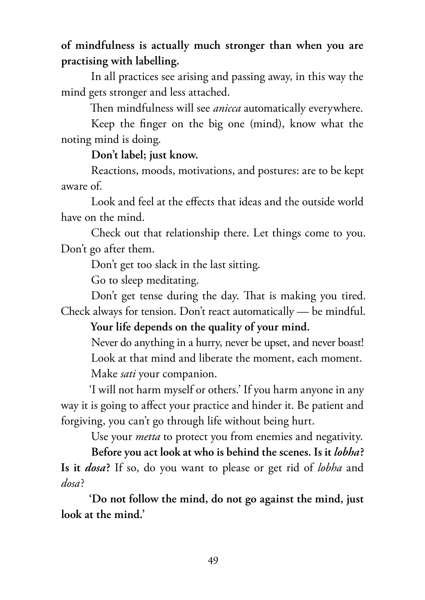### **of mindfulness is actually much stronger than when you are practising with labelling.**

In all practices see arising and passing away, in this way the mind gets stronger and less attached.

Then mindfulness will see *anicca* automatically everywhere.

Keep the finger on the big one (mind), know what the noting mind is doing.

#### **Don't label; just know.**

Reactions, moods, motivations, and postures: are to be kept aware of.

Look and feel at the effects that ideas and the outside world have on the mind.

Check out that relationship there. Let things come to you. Don't go after them.

Don't get too slack in the last sitting.

Go to sleep meditating.

Don't get tense during the day. That is making you tired. Check always for tension. Don't react automatically — be mindful.

**Your life depends on the quality of your mind.**

Never do anything in a hurry, never be upset, and never boast! Look at that mind and liberate the moment, each moment. Make *sati* your companion.

'I will not harm myself or others.' If you harm anyone in any way it is going to affect your practice and hinder it. Be patient and forgiving, you can't go through life without being hurt.

Use your *metta* to protect you from enemies and negativity.

**Before you act look at who is behind the scenes. Is it** *lobha***? Is it** *dosa***?** If so, do you want to please or get rid of *lobha* and *dosa*?

**'Do not follow the mind, do not go against the mind, just look at the mind.'**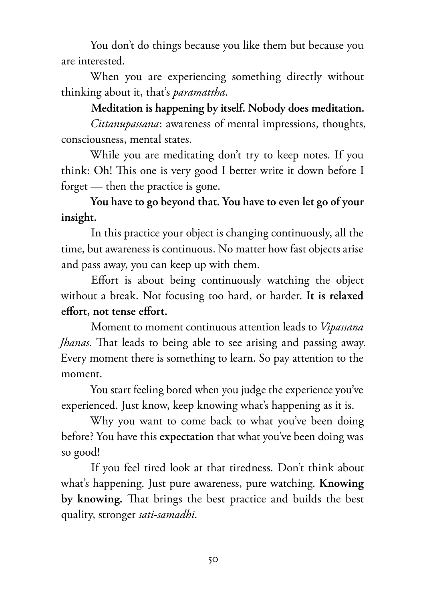You don't do things because you like them but because you are interested.

When you are experiencing something directly without thinking about it, that's *paramattha*.

**Meditation is happening by itself. Nobody does meditation.** *Cittanupassana*: awareness of mental impressions, thoughts, consciousness, mental states.

While you are meditating don't try to keep notes. If you think: Oh! This one is very good I better write it down before I forget — then the practice is gone.

**You have to go beyond that. You have to even let go of your insight.**

In this practice your object is changing continuously, all the time, but awareness is continuous. No matter how fast objects arise and pass away, you can keep up with them.

Effort is about being continuously watching the object without a break. Not focusing too hard, or harder. **It is relaxed effort, not tense effort.**

Moment to moment continuous attention leads to *Vipassana Jhanas*. That leads to being able to see arising and passing away. Every moment there is something to learn. So pay attention to the moment.

You start feeling bored when you judge the experience you've experienced. Just know, keep knowing what's happening as it is.

Why you want to come back to what you've been doing before? You have this **expectation** that what you've been doing was so good!

If you feel tired look at that tiredness. Don't think about what's happening. Just pure awareness, pure watching. **Knowing**  by knowing. That brings the best practice and builds the best quality, stronger *sati*-*samadhi*.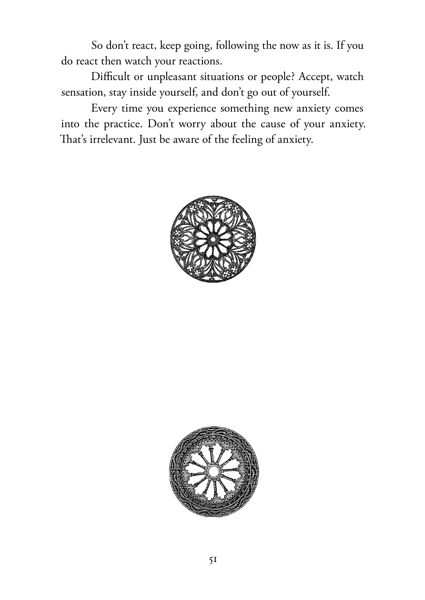So don't react, keep going, following the now as it is. If you do react then watch your reactions.

Difficult or unpleasant situations or people? Accept, watch sensation, stay inside yourself, and don't go out of yourself.

Every time you experience something new anxiety comes into the practice. Don't worry about the cause of your anxiety. That's irrelevant. Just be aware of the feeling of anxiety.



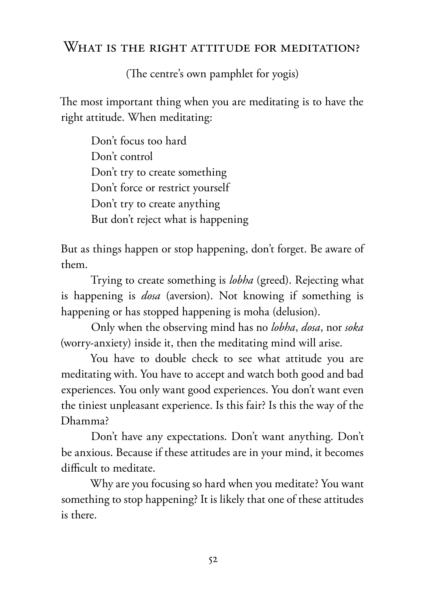# WHAT IS THE RIGHT ATTITUDE FOR MEDITATION?

(The centre's own pamphlet for yogis)

The most important thing when you are meditating is to have the right attitude. When meditating:

> Don't focus too hard Don't control Don't try to create something Don't force or restrict yourself Don't try to create anything But don't reject what is happening

But as things happen or stop happening, don't forget. Be aware of them.

Trying to create something is *lobha* (greed). Rejecting what is happening is *dosa* (aversion). Not knowing if something is happening or has stopped happening is moha (delusion).

Only when the observing mind has no *lobha*, *dosa*, nor *soka* (worry-anxiety) inside it, then the meditating mind will arise.

You have to double check to see what attitude you are meditating with. You have to accept and watch both good and bad experiences. You only want good experiences. You don't want even the tiniest unpleasant experience. Is this fair? Is this the way of the Dhamma?

Don't have any expectations. Don't want anything. Don't be anxious. Because if these attitudes are in your mind, it becomes difficult to meditate.

Why are you focusing so hard when you meditate? You want something to stop happening? It is likely that one of these attitudes is there.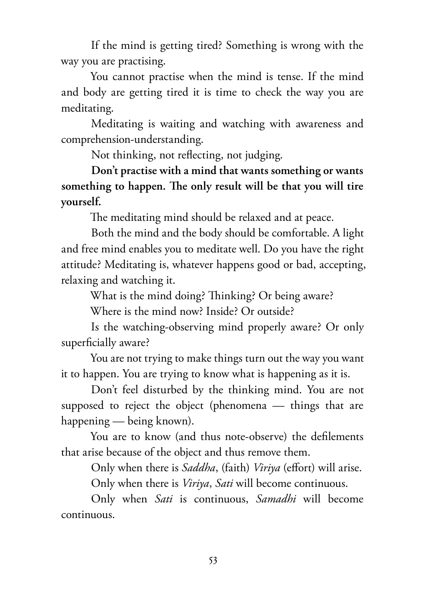If the mind is getting tired? Something is wrong with the way you are practising.

You cannot practise when the mind is tense. If the mind and body are getting tired it is time to check the way you are meditating.

Meditating is waiting and watching with awareness and comprehension-understanding.

Not thinking, not reflecting, not judging.

**Don't practise with a mind that wants something or wants**  something to happen. The only result will be that you will tire **yourself.**

The meditating mind should be relaxed and at peace.

Both the mind and the body should be comfortable. A light and free mind enables you to meditate well. Do you have the right attitude? Meditating is, whatever happens good or bad, accepting, relaxing and watching it.

What is the mind doing? Thinking? Or being aware?

Where is the mind now? Inside? Or outside?

Is the watching-observing mind properly aware? Or only superficially aware?

You are not trying to make things turn out the way you want it to happen. You are trying to know what is happening as it is.

Don't feel disturbed by the thinking mind. You are not supposed to reject the object (phenomena — things that are happening — being known).

You are to know (and thus note-observe) the defilements that arise because of the object and thus remove them.

Only when there is *Saddha*, (faith) *Viriya* (effort) will arise.

Only when there is *Viriya*, *Sati* will become continuous.

Only when *Sati* is continuous, *Samadhi* will become continuous.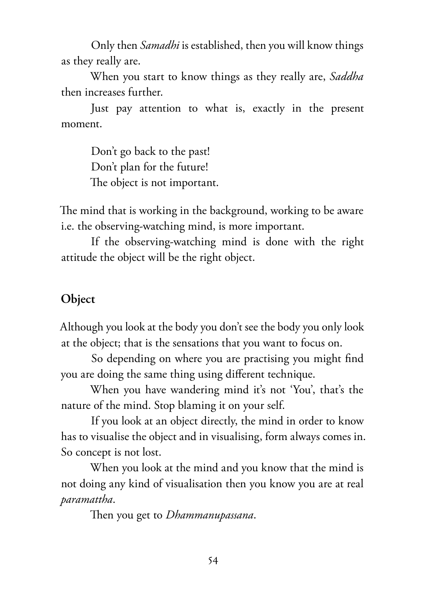Only then *Samadhi* is established, then you will know things as they really are.

When you start to know things as they really are, *Saddha* then increases further.

Just pay attention to what is, exactly in the present moment.

Don't go back to the past! Don't plan for the future! The object is not important.

The mind that is working in the background, working to be aware i.e. the observing-watching mind, is more important.

If the observing-watching mind is done with the right attitude the object will be the right object.

# **Object**

Although you look at the body you don't see the body you only look at the object; that is the sensations that you want to focus on.

So depending on where you are practising you might find you are doing the same thing using different technique.

When you have wandering mind it's not 'You', that's the nature of the mind. Stop blaming it on your self.

If you look at an object directly, the mind in order to know has to visualise the object and in visualising, form always comes in. So concept is not lost.

When you look at the mind and you know that the mind is not doing any kind of visualisation then you know you are at real *paramattha*.

Then you get to *Dhammanupassana*.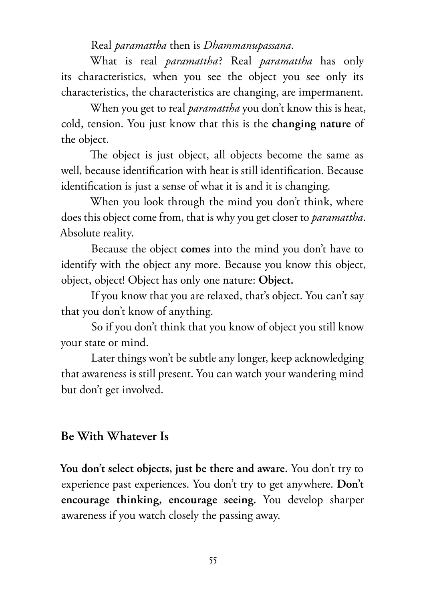Real *paramattha* then is *Dhammanupassana*.

What is real *paramattha*? Real *paramattha* has only its characteristics, when you see the object you see only its characteristics, the characteristics are changing, are impermanent.

When you get to real *paramattha* you don't know this is heat, cold, tension. You just know that this is the **changing nature** of the object.

The object is just object, all objects become the same as well, because identification with heat is still identification. Because identification is just a sense of what it is and it is changing.

When you look through the mind you don't think, where does this object come from, that is why you get closer to *paramattha*. Absolute reality.

Because the object **comes** into the mind you don't have to identify with the object any more. Because you know this object, object, object! Object has only one nature: **Object.**

If you know that you are relaxed, that's object. You can't say that you don't know of anything.

So if you don't think that you know of object you still know your state or mind.

Later things won't be subtle any longer, keep acknowledging that awareness is still present. You can watch your wandering mind but don't get involved.

# **Be With Whatever Is**

**You don't select objects, just be there and aware.** You don't try to experience past experiences. You don't try to get anywhere. **Don't encourage thinking, encourage seeing.** You develop sharper awareness if you watch closely the passing away.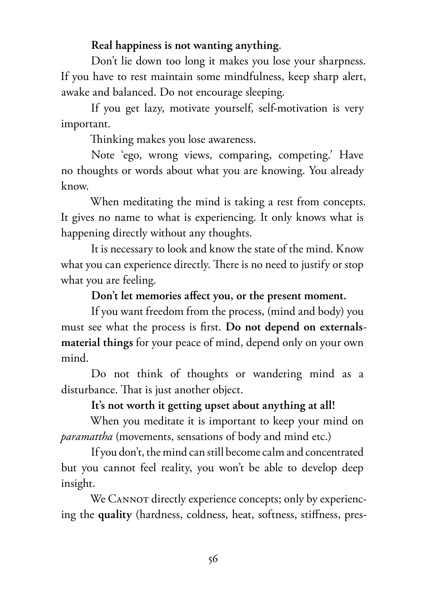#### **Real happiness is not wanting anything**.

Don't lie down too long it makes you lose your sharpness. If you have to rest maintain some mindfulness, keep sharp alert, awake and balanced. Do not encourage sleeping.

If you get lazy, motivate yourself, self-motivation is very important.

Thinking makes you lose awareness.

Note 'ego, wrong views, comparing, competing.' Have no thoughts or words about what you are knowing. You already know.

When meditating the mind is taking a rest from concepts. It gives no name to what is experiencing. It only knows what is happening directly without any thoughts.

It is necessary to look and know the state of the mind. Know what you can experience directly. There is no need to justify or stop what you are feeling.

### **Don't let memories affect you, or the present moment.**

If you want freedom from the process, (mind and body) you must see what the process is first. **Do not depend on externalsmaterial things** for your peace of mind, depend only on your own mind.

Do not think of thoughts or wandering mind as a disturbance. That is just another object.

### **It's not worth it getting upset about anything at all!**

When you meditate it is important to keep your mind on *paramattha* (movements, sensations of body and mind etc.)

If you don't, the mind can still become calm and concentrated but you cannot feel reality, you won't be able to develop deep insight.

We CANNOT directly experience concepts; only by experiencing the **quality** (hardness, coldness, heat, softness, stiffness, pres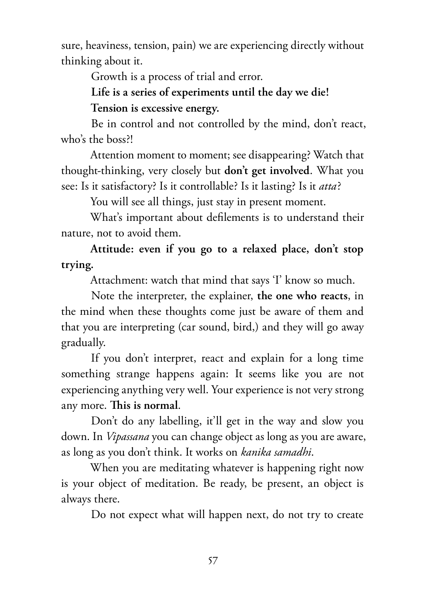sure, heaviness, tension, pain) we are experiencing directly without thinking about it.

Growth is a process of trial and error.

**Life is a series of experiments until the day we die! Tension is excessive energy.**

Be in control and not controlled by the mind, don't react, who's the boss?!

Attention moment to moment; see disappearing? Watch that thought-thinking, very closely but **don't get involved**. What you see: Is it satisfactory? Is it controllable? Is it lasting? Is it *atta*?

You will see all things, just stay in present moment.

What's important about defilements is to understand their nature, not to avoid them.

**Attitude: even if you go to a relaxed place, don't stop trying.**

Attachment: watch that mind that says 'I' know so much.

Note the interpreter, the explainer, **the one who reacts**, in the mind when these thoughts come just be aware of them and that you are interpreting (car sound, bird,) and they will go away gradually.

If you don't interpret, react and explain for a long time something strange happens again: It seems like you are not experiencing anything very well. Your experience is not very strong any more. This is normal.

Don't do any labelling, it'll get in the way and slow you down. In *Vipassana* you can change object as long as you are aware, as long as you don't think. It works on *kanika samadhi*.

When you are meditating whatever is happening right now is your object of meditation. Be ready, be present, an object is always there.

Do not expect what will happen next, do not try to create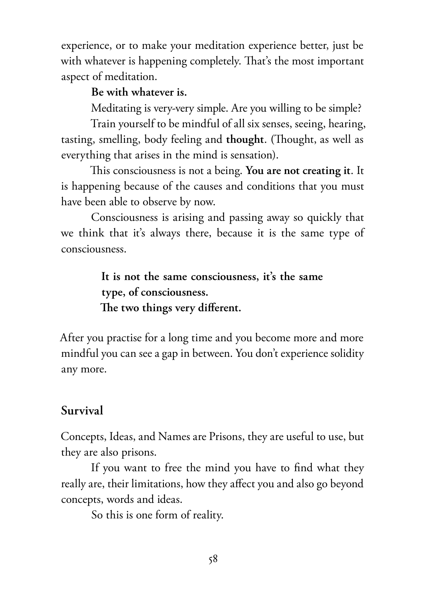experience, or to make your meditation experience better, just be with whatever is happening completely. That's the most important aspect of meditation.

### **Be with whatever is.**

Meditating is very-very simple. Are you willing to be simple?

Train yourself to be mindful of all six senses, seeing, hearing, tasting, smelling, body feeling and **thought**. (Thought, as well as everything that arises in the mind is sensation).

This consciousness is not a being. You are not creating it. It is happening because of the causes and conditions that you must have been able to observe by now.

Consciousness is arising and passing away so quickly that we think that it's always there, because it is the same type of consciousness.

> **It is not the same consciousness, it's the same type, of consciousness.** The two things very different.

After you practise for a long time and you become more and more mindful you can see a gap in between. You don't experience solidity any more.

# **Survival**

Concepts, Ideas, and Names are Prisons, they are useful to use, but they are also prisons.

If you want to free the mind you have to find what they really are, their limitations, how they affect you and also go beyond concepts, words and ideas.

So this is one form of reality.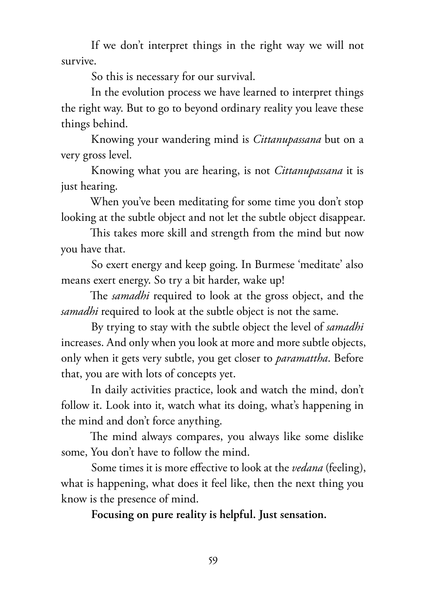If we don't interpret things in the right way we will not survive.

So this is necessary for our survival.

In the evolution process we have learned to interpret things the right way. But to go to beyond ordinary reality you leave these things behind.

Knowing your wandering mind is *Cittanupassana* but on a very gross level.

Knowing what you are hearing, is not *Cittanupassana* it is just hearing.

When you've been meditating for some time you don't stop looking at the subtle object and not let the subtle object disappear.

This takes more skill and strength from the mind but now you have that.

So exert energy and keep going. In Burmese 'meditate' also means exert energy. So try a bit harder, wake up!

The *samadhi* required to look at the gross object, and the *samadhi* required to look at the subtle object is not the same.

By trying to stay with the subtle object the level of *samadhi* increases. And only when you look at more and more subtle objects, only when it gets very subtle, you get closer to *paramattha*. Before that, you are with lots of concepts yet.

In daily activities practice, look and watch the mind, don't follow it. Look into it, watch what its doing, what's happening in the mind and don't force anything.

The mind always compares, you always like some dislike some, You don't have to follow the mind.

Some times it is more effective to look at the *vedana* (feeling), what is happening, what does it feel like, then the next thing you know is the presence of mind.

**Focusing on pure reality is helpful. Just sensation.**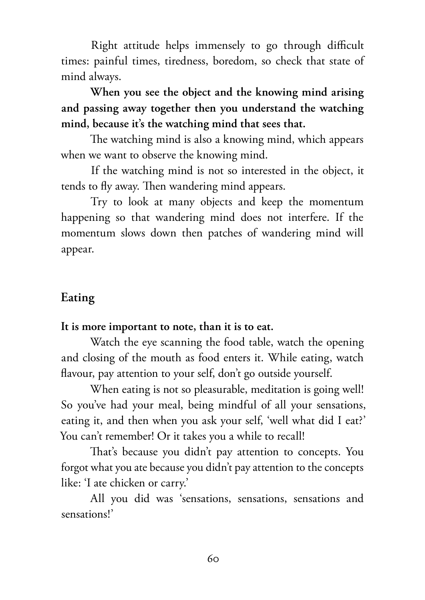Right attitude helps immensely to go through difficult times: painful times, tiredness, boredom, so check that state of mind always.

**When you see the object and the knowing mind arising and passing away together then you understand the watching mind, because it's the watching mind that sees that.**

The watching mind is also a knowing mind, which appears when we want to observe the knowing mind.

If the watching mind is not so interested in the object, it tends to fly away. Then wandering mind appears.

Try to look at many objects and keep the momentum happening so that wandering mind does not interfere. If the momentum slows down then patches of wandering mind will appear.

# **Eating**

#### **It is more important to note, than it is to eat.**

Watch the eye scanning the food table, watch the opening and closing of the mouth as food enters it. While eating, watch flavour, pay attention to your self, don't go outside yourself.

When eating is not so pleasurable, meditation is going well! So you've had your meal, being mindful of all your sensations, eating it, and then when you ask your self, 'well what did I eat?' You can't remember! Or it takes you a while to recall!

That's because you didn't pay attention to concepts. You forgot what you ate because you didn't pay attention to the concepts like: 'I ate chicken or carry.'

All you did was 'sensations, sensations, sensations and sensations!'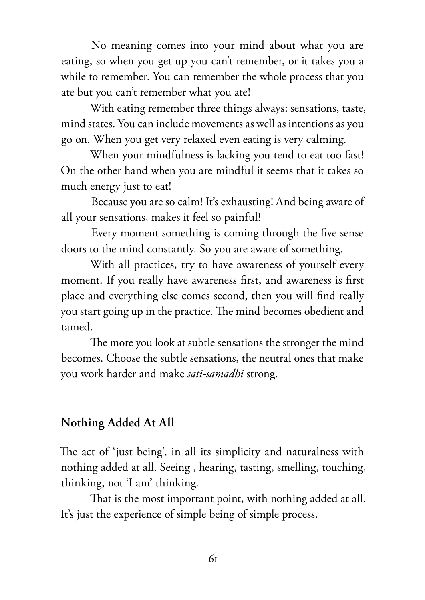No meaning comes into your mind about what you are eating, so when you get up you can't remember, or it takes you a while to remember. You can remember the whole process that you ate but you can't remember what you ate!

With eating remember three things always: sensations, taste, mind states. You can include movements as well as intentions as you go on. When you get very relaxed even eating is very calming.

When your mindfulness is lacking you tend to eat too fast! On the other hand when you are mindful it seems that it takes so much energy just to eat!

Because you are so calm! It's exhausting! And being aware of all your sensations, makes it feel so painful!

Every moment something is coming through the five sense doors to the mind constantly. So you are aware of something.

With all practices, try to have awareness of yourself every moment. If you really have awareness first, and awareness is first place and everything else comes second, then you will find really you start going up in the practice. The mind becomes obedient and tamed.

The more you look at subtle sensations the stronger the mind becomes. Choose the subtle sensations, the neutral ones that make you work harder and make *sati-samadhi* strong.

# **Nothing Added At All**

The act of 'just being', in all its simplicity and naturalness with nothing added at all. Seeing , hearing, tasting, smelling, touching, thinking, not 'I am' thinking.

That is the most important point, with nothing added at all. It's just the experience of simple being of simple process.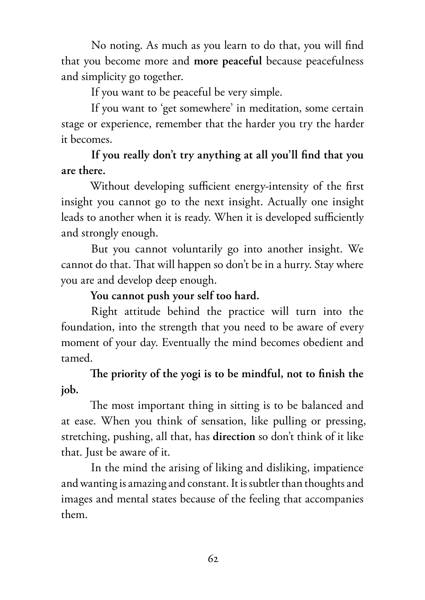No noting. As much as you learn to do that, you will find that you become more and **more peaceful** because peacefulness and simplicity go together.

If you want to be peaceful be very simple.

If you want to 'get somewhere' in meditation, some certain stage or experience, remember that the harder you try the harder it becomes.

### **If you really don't try anything at all you'll find that you are there.**

Without developing sufficient energy-intensity of the first insight you cannot go to the next insight. Actually one insight leads to another when it is ready. When it is developed sufficiently and strongly enough.

But you cannot voluntarily go into another insight. We cannot do that. That will happen so don't be in a hurry. Stay where you are and develop deep enough.

# **You cannot push your self too hard.**

Right attitude behind the practice will turn into the foundation, into the strength that you need to be aware of every moment of your day. Eventually the mind becomes obedient and tamed.

# The priority of the yogi is to be mindful, not to finish the **job.**

The most important thing in sitting is to be balanced and at ease. When you think of sensation, like pulling or pressing, stretching, pushing, all that, has **direction** so don't think of it like that. Just be aware of it.

In the mind the arising of liking and disliking, impatience and wanting is amazing and constant. It is subtler than thoughts and images and mental states because of the feeling that accompanies them.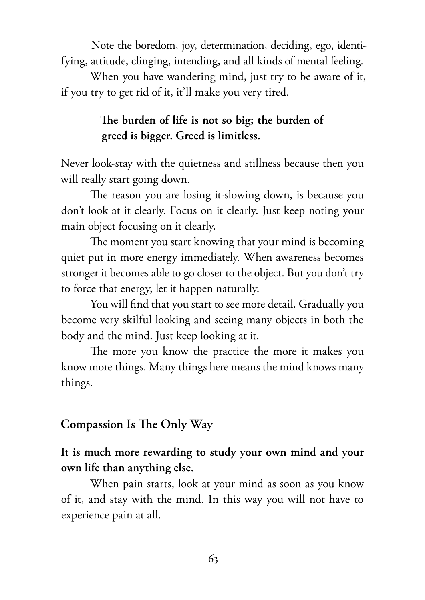Note the boredom, joy, determination, deciding, ego, identifying, attitude, clinging, intending, and all kinds of mental feeling.

When you have wandering mind, just try to be aware of it, if you try to get rid of it, it'll make you very tired.

# The burden of life is not so big; the burden of **greed is bigger. Greed is limitless.**

Never look-stay with the quietness and stillness because then you will really start going down.

The reason you are losing it-slowing down, is because you don't look at it clearly. Focus on it clearly. Just keep noting your main object focusing on it clearly.

The moment you start knowing that your mind is becoming quiet put in more energy immediately. When awareness becomes stronger it becomes able to go closer to the object. But you don't try to force that energy, let it happen naturally.

You will find that you start to see more detail. Gradually you become very skilful looking and seeing many objects in both the body and the mind. Just keep looking at it.

The more you know the practice the more it makes you know more things. Many things here means the mind knows many things.

# **Compassion Is The Only Way**

# **It is much more rewarding to study your own mind and your own life than anything else.**

When pain starts, look at your mind as soon as you know of it, and stay with the mind. In this way you will not have to experience pain at all.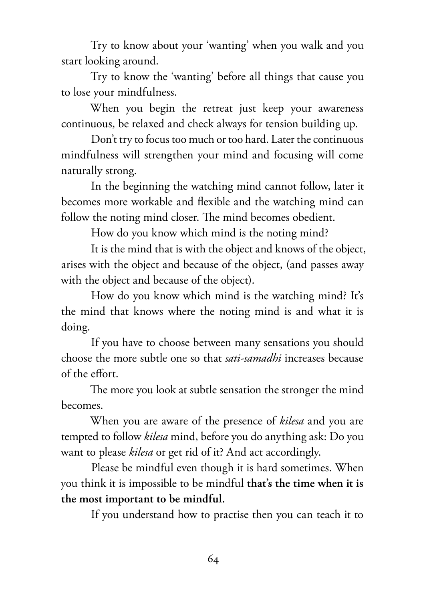Try to know about your 'wanting' when you walk and you start looking around.

Try to know the 'wanting' before all things that cause you to lose your mindfulness.

When you begin the retreat just keep your awareness continuous, be relaxed and check always for tension building up.

Don't try to focus too much or too hard. Later the continuous mindfulness will strengthen your mind and focusing will come naturally strong.

In the beginning the watching mind cannot follow, later it becomes more workable and flexible and the watching mind can follow the noting mind closer. The mind becomes obedient.

How do you know which mind is the noting mind?

It is the mind that is with the object and knows of the object, arises with the object and because of the object, (and passes away with the object and because of the object).

How do you know which mind is the watching mind? It's the mind that knows where the noting mind is and what it is doing.

If you have to choose between many sensations you should choose the more subtle one so that *sati-samadhi* increases because of the effort.

The more you look at subtle sensation the stronger the mind becomes.

When you are aware of the presence of *kilesa* and you are tempted to follow *kilesa* mind, before you do anything ask: Do you want to please *kilesa* or get rid of it? And act accordingly.

Please be mindful even though it is hard sometimes. When you think it is impossible to be mindful **that's the time when it is the most important to be mindful.**

If you understand how to practise then you can teach it to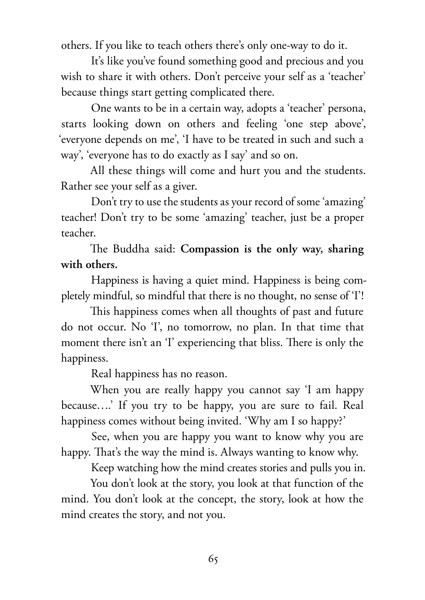others. If you like to teach others there's only one-way to do it.

It's like you've found something good and precious and you wish to share it with others. Don't perceive your self as a 'teacher' because things start getting complicated there.

One wants to be in a certain way, adopts a 'teacher' persona, starts looking down on others and feeling 'one step above', 'everyone depends on me', 'I have to be treated in such and such a way', 'everyone has to do exactly as I say' and so on.

All these things will come and hurt you and the students. Rather see your self as a giver.

Don't try to use the students as your record of some 'amazing' teacher! Don't try to be some 'amazing' teacher, just be a proper teacher.

The Buddha said: Compassion is the only way, sharing **with others.**

Happiness is having a quiet mind. Happiness is being completely mindful, so mindful that there is no thought, no sense of 'I'!

This happiness comes when all thoughts of past and future do not occur. No 'I', no tomorrow, no plan. In that time that moment there isn't an 'I' experiencing that bliss. There is only the happiness.

Real happiness has no reason.

When you are really happy you cannot say 'I am happy because….' If you try to be happy, you are sure to fail. Real happiness comes without being invited. 'Why am I so happy?'

See, when you are happy you want to know why you are happy. That's the way the mind is. Always wanting to know why.

Keep watching how the mind creates stories and pulls you in.

You don't look at the story, you look at that function of the mind. You don't look at the concept, the story, look at how the mind creates the story, and not you.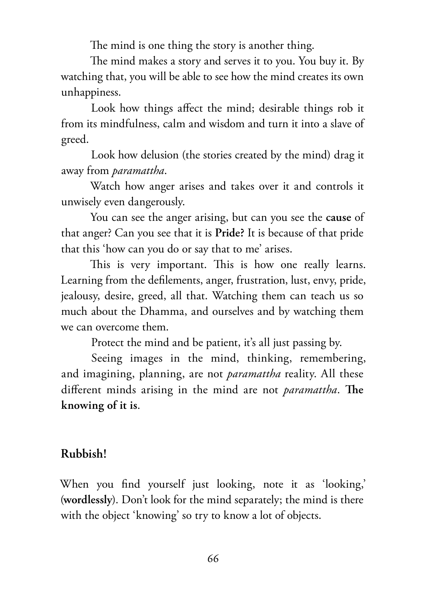The mind is one thing the story is another thing.

The mind makes a story and serves it to you. You buy it. By watching that, you will be able to see how the mind creates its own unhappiness.

Look how things affect the mind; desirable things rob it from its mindfulness, calm and wisdom and turn it into a slave of greed.

Look how delusion (the stories created by the mind) drag it away from *paramattha*.

Watch how anger arises and takes over it and controls it unwisely even dangerously.

You can see the anger arising, but can you see the **cause** of that anger? Can you see that it is **Pride?** It is because of that pride that this 'how can you do or say that to me' arises.

This is very important. This is how one really learns. Learning from the defilements, anger, frustration, lust, envy, pride, jealousy, desire, greed, all that. Watching them can teach us so much about the Dhamma, and ourselves and by watching them we can overcome them.

Protect the mind and be patient, it's all just passing by.

Seeing images in the mind, thinking, remembering, and imagining, planning, are not *paramattha* reality. All these different minds arising in the mind are not *paramattha*. The **knowing of it is**.

# **Rubbish!**

When you find yourself just looking, note it as 'looking,' (**wordlessly**). Don't look for the mind separately; the mind is there with the object 'knowing' so try to know a lot of objects.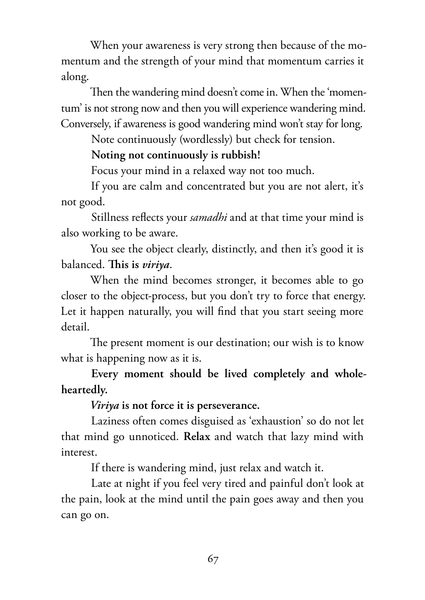When your awareness is very strong then because of the momentum and the strength of your mind that momentum carries it along.

Then the wandering mind doesn't come in. When the 'momentum' is not strong now and then you will experience wandering mind. Conversely, if awareness is good wandering mind won't stay for long.

Note continuously (wordlessly) but check for tension.

### **Noting not continuously is rubbish!**

Focus your mind in a relaxed way not too much.

If you are calm and concentrated but you are not alert, it's not good.

Stillness reflects your *samadhi* and at that time your mind is also working to be aware.

You see the object clearly, distinctly, and then it's good it is balanced. **is is** *viriya*.

When the mind becomes stronger, it becomes able to go closer to the object-process, but you don't try to force that energy. Let it happen naturally, you will find that you start seeing more detail.

The present moment is our destination; our wish is to know what is happening now as it is.

**Every moment should be lived completely and wholeheartedly.**

### *Viriya* **is not force it is perseverance.**

Laziness often comes disguised as 'exhaustion' so do not let that mind go unnoticed. **Relax** and watch that lazy mind with interest.

If there is wandering mind, just relax and watch it.

Late at night if you feel very tired and painful don't look at the pain, look at the mind until the pain goes away and then you can go on.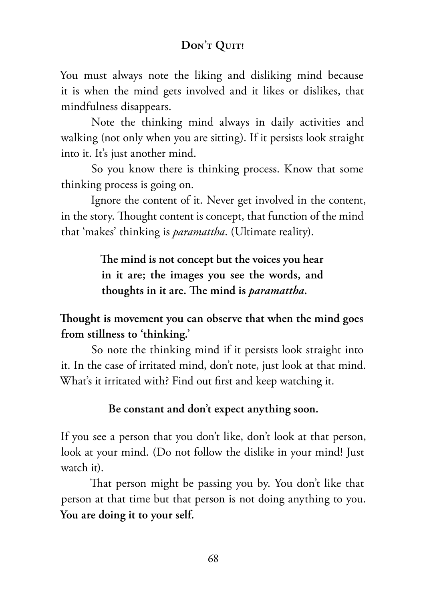### Don't Quit!

You must always note the liking and disliking mind because it is when the mind gets involved and it likes or dislikes, that mindfulness disappears.

Note the thinking mind always in daily activities and walking (not only when you are sitting). If it persists look straight into it. It's just another mind.

So you know there is thinking process. Know that some thinking process is going on.

Ignore the content of it. Never get involved in the content, in the story. Thought content is concept, that function of the mind that 'makes' thinking is *paramattha*. (Ultimate reality).

> The mind is not concept but the voices you hear **in it are; the images you see the words, and**  thoughts in it are. The mind is *paramattha*.

Thought is movement you can observe that when the mind goes **from stillness to 'thinking.'**

So note the thinking mind if it persists look straight into it. In the case of irritated mind, don't note, just look at that mind. What's it irritated with? Find out first and keep watching it.

#### **Be constant and don't expect anything soon.**

If you see a person that you don't like, don't look at that person, look at your mind. (Do not follow the dislike in your mind! Just watch it).

That person might be passing you by. You don't like that person at that time but that person is not doing anything to you. **You are doing it to your self.**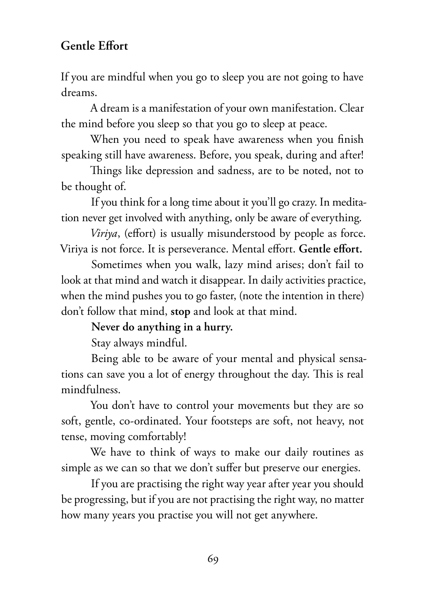### **Gentle Effort**

If you are mindful when you go to sleep you are not going to have dreams.

A dream is a manifestation of your own manifestation. Clear the mind before you sleep so that you go to sleep at peace.

When you need to speak have awareness when you finish speaking still have awareness. Before, you speak, during and after!

Things like depression and sadness, are to be noted, not to be thought of.

If you think for a long time about it you'll go crazy. In meditation never get involved with anything, only be aware of everything.

*Viriya*, (effort) is usually misunderstood by people as force. Viriya is not force. It is perseverance. Mental effort. **Gentle effort.**

Sometimes when you walk, lazy mind arises; don't fail to look at that mind and watch it disappear. In daily activities practice, when the mind pushes you to go faster, (note the intention in there) don't follow that mind, **stop** and look at that mind.

#### **Never do anything in a hurry.**

Stay always mindful.

Being able to be aware of your mental and physical sensations can save you a lot of energy throughout the day. This is real mindfulness.

You don't have to control your movements but they are so soft, gentle, co-ordinated. Your footsteps are soft, not heavy, not tense, moving comfortably!

We have to think of ways to make our daily routines as simple as we can so that we don't suffer but preserve our energies.

If you are practising the right way year after year you should be progressing, but if you are not practising the right way, no matter how many years you practise you will not get anywhere.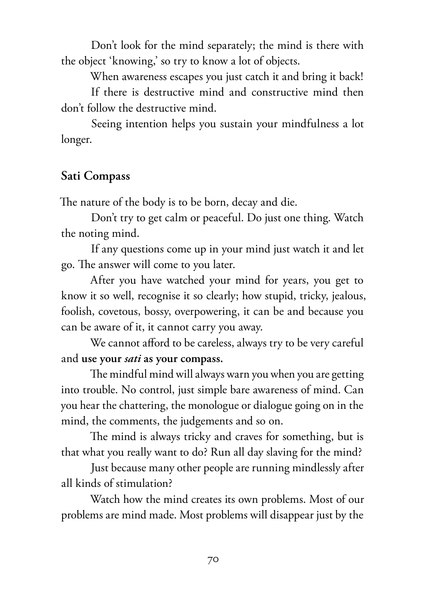Don't look for the mind separately; the mind is there with the object 'knowing,' so try to know a lot of objects.

When awareness escapes you just catch it and bring it back!

If there is destructive mind and constructive mind then don't follow the destructive mind.

Seeing intention helps you sustain your mindfulness a lot longer.

# **Sati Compass**

The nature of the body is to be born, decay and die.

Don't try to get calm or peaceful. Do just one thing. Watch the noting mind.

If any questions come up in your mind just watch it and let go. The answer will come to you later.

After you have watched your mind for years, you get to know it so well, recognise it so clearly; how stupid, tricky, jealous, foolish, covetous, bossy, overpowering, it can be and because you can be aware of it, it cannot carry you away.

We cannot afford to be careless, always try to be very careful and **use your** *sati* **as your compass.**

The mindful mind will always warn you when you are getting into trouble. No control, just simple bare awareness of mind. Can you hear the chattering, the monologue or dialogue going on in the mind, the comments, the judgements and so on.

The mind is always tricky and craves for something, but is that what you really want to do? Run all day slaving for the mind?

Just because many other people are running mindlessly after all kinds of stimulation?

Watch how the mind creates its own problems. Most of our problems are mind made. Most problems will disappear just by the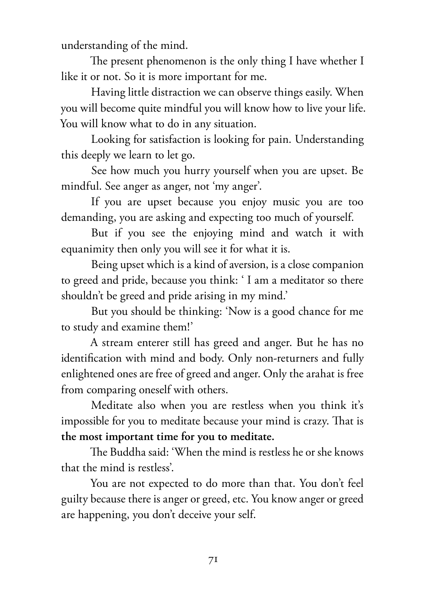understanding of the mind.

The present phenomenon is the only thing I have whether I like it or not. So it is more important for me.

Having little distraction we can observe things easily. When you will become quite mindful you will know how to live your life. You will know what to do in any situation.

Looking for satisfaction is looking for pain. Understanding this deeply we learn to let go.

See how much you hurry yourself when you are upset. Be mindful. See anger as anger, not 'my anger'.

If you are upset because you enjoy music you are too demanding, you are asking and expecting too much of yourself.

But if you see the enjoying mind and watch it with equanimity then only you will see it for what it is.

Being upset which is a kind of aversion, is a close companion to greed and pride, because you think: ' I am a meditator so there shouldn't be greed and pride arising in my mind.'

But you should be thinking: 'Now is a good chance for me to study and examine them!'

A stream enterer still has greed and anger. But he has no identification with mind and body. Only non-returners and fully enlightened ones are free of greed and anger. Only the arahat is free from comparing oneself with others.

Meditate also when you are restless when you think it's impossible for you to meditate because your mind is crazy. That is **the most important time for you to meditate.**

The Buddha said: 'When the mind is restless he or she knows' that the mind is restless'.

You are not expected to do more than that. You don't feel guilty because there is anger or greed, etc. You know anger or greed are happening, you don't deceive your self.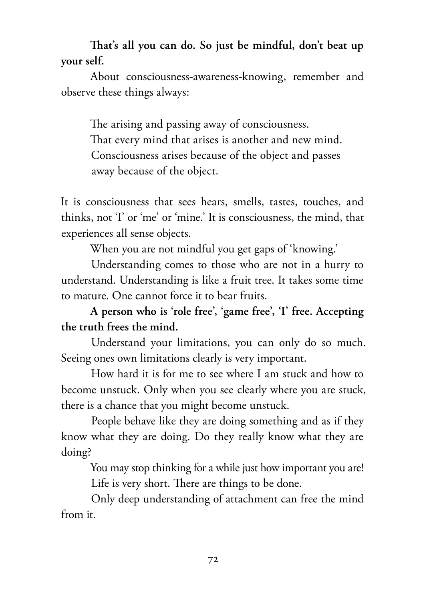That's all you can do. So just be mindful, don't beat up **your self.**

About consciousness-awareness-knowing, remember and observe these things always:

The arising and passing away of consciousness. That every mind that arises is another and new mind. Consciousness arises because of the object and passes away because of the object.

It is consciousness that sees hears, smells, tastes, touches, and thinks, not 'I' or 'me' or 'mine.' It is consciousness, the mind, that experiences all sense objects.

When you are not mindful you get gaps of 'knowing.'

Understanding comes to those who are not in a hurry to understand. Understanding is like a fruit tree. It takes some time to mature. One cannot force it to bear fruits.

**A person who is 'role free', 'game free', 'I' free. Accepting the truth frees the mind.**

Understand your limitations, you can only do so much. Seeing ones own limitations clearly is very important.

How hard it is for me to see where I am stuck and how to become unstuck. Only when you see clearly where you are stuck, there is a chance that you might become unstuck.

People behave like they are doing something and as if they know what they are doing. Do they really know what they are doing?

You may stop thinking for a while just how important you are!

Life is very short. There are things to be done.

Only deep understanding of attachment can free the mind from it.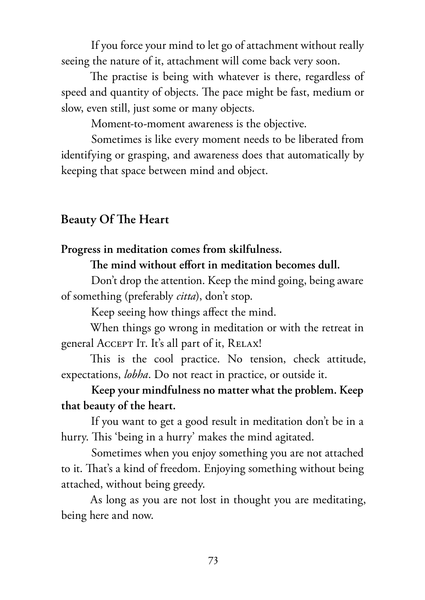If you force your mind to let go of attachment without really seeing the nature of it, attachment will come back very soon.

The practise is being with whatever is there, regardless of speed and quantity of objects. The pace might be fast, medium or slow, even still, just some or many objects.

Moment-to-moment awareness is the objective.

Sometimes is like every moment needs to be liberated from identifying or grasping, and awareness does that automatically by keeping that space between mind and object.

### **Beauty Of The Heart**

#### **Progress in meditation comes from skilfulness.**

#### The mind without effort in meditation becomes dull.

Don't drop the attention. Keep the mind going, being aware of something (preferably *citta*), don't stop.

Keep seeing how things affect the mind.

When things go wrong in meditation or with the retreat in general ACCEPT IT. It's all part of it, RELAX!

This is the cool practice. No tension, check attitude, expectations, *lobha*. Do not react in practice, or outside it.

**Keep your mindfulness no matter what the problem. Keep that beauty of the heart.**

If you want to get a good result in meditation don't be in a hurry. This 'being in a hurry' makes the mind agitated.

Sometimes when you enjoy something you are not attached to it. That's a kind of freedom. Enjoying something without being attached, without being greedy.

As long as you are not lost in thought you are meditating, being here and now.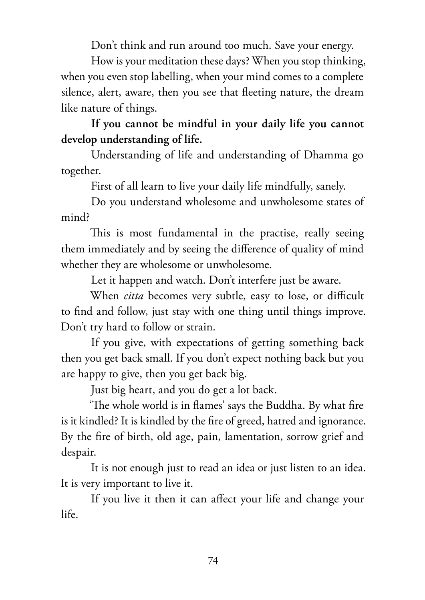Don't think and run around too much. Save your energy.

How is your meditation these days? When you stop thinking, when you even stop labelling, when your mind comes to a complete silence, alert, aware, then you see that fleeting nature, the dream like nature of things.

**If you cannot be mindful in your daily life you cannot develop understanding of life.**

Understanding of life and understanding of Dhamma go together.

First of all learn to live your daily life mindfully, sanely.

Do you understand wholesome and unwholesome states of mind?

This is most fundamental in the practise, really seeing them immediately and by seeing the difference of quality of mind whether they are wholesome or unwholesome.

Let it happen and watch. Don't interfere just be aware.

When *citta* becomes very subtle, easy to lose, or difficult to find and follow, just stay with one thing until things improve. Don't try hard to follow or strain.

If you give, with expectations of getting something back then you get back small. If you don't expect nothing back but you are happy to give, then you get back big.

Just big heart, and you do get a lot back.

'The whole world is in flames' says the Buddha. By what fire is it kindled? It is kindled by the fire of greed, hatred and ignorance. By the fire of birth, old age, pain, lamentation, sorrow grief and despair.

It is not enough just to read an idea or just listen to an idea. It is very important to live it.

If you live it then it can affect your life and change your life.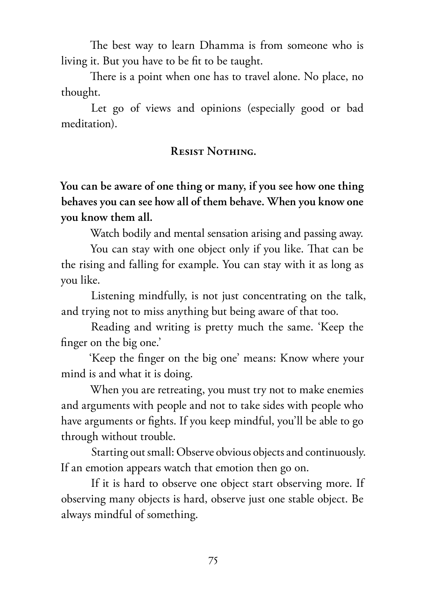The best way to learn Dhamma is from someone who is living it. But you have to be fit to be taught.

There is a point when one has to travel alone. No place, no thought.

Let go of views and opinions (especially good or bad meditation).

#### **RESIST NOTHING.**

**You can be aware of one thing or many, if you see how one thing behaves you can see how all of them behave. When you know one you know them all.**

Watch bodily and mental sensation arising and passing away.

You can stay with one object only if you like. That can be the rising and falling for example. You can stay with it as long as you like.

Listening mindfully, is not just concentrating on the talk, and trying not to miss anything but being aware of that too.

Reading and writing is pretty much the same. 'Keep the finger on the big one.'

'Keep the finger on the big one' means: Know where your mind is and what it is doing.

When you are retreating, you must try not to make enemies and arguments with people and not to take sides with people who have arguments or fights. If you keep mindful, you'll be able to go through without trouble.

Starting out small: Observe obvious objects and continuously. If an emotion appears watch that emotion then go on.

If it is hard to observe one object start observing more. If observing many objects is hard, observe just one stable object. Be always mindful of something.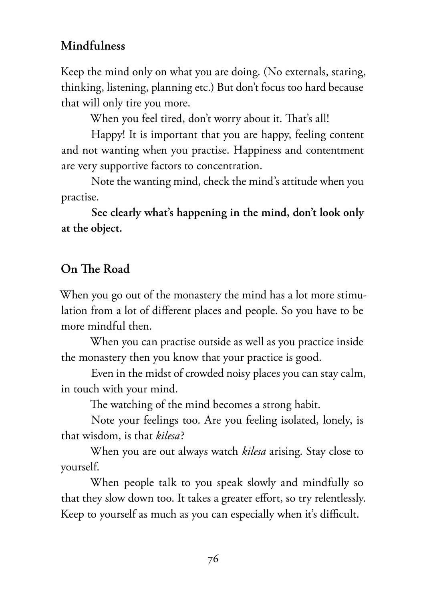## **Mindfulness**

Keep the mind only on what you are doing. (No externals, staring, thinking, listening, planning etc.) But don't focus too hard because that will only tire you more.

When you feel tired, don't worry about it. That's all!

Happy! It is important that you are happy, feeling content and not wanting when you practise. Happiness and contentment are very supportive factors to concentration.

Note the wanting mind, check the mind's attitude when you practise.

**See clearly what's happening in the mind, don't look only at the object.**

## **On The Road**

When you go out of the monastery the mind has a lot more stimulation from a lot of different places and people. So you have to be more mindful then.

When you can practise outside as well as you practice inside the monastery then you know that your practice is good.

Even in the midst of crowded noisy places you can stay calm, in touch with your mind.

The watching of the mind becomes a strong habit.

Note your feelings too. Are you feeling isolated, lonely, is that wisdom, is that *kilesa*?

When you are out always watch *kilesa* arising. Stay close to yourself.

When people talk to you speak slowly and mindfully so that they slow down too. It takes a greater effort, so try relentlessly. Keep to yourself as much as you can especially when it's difficult.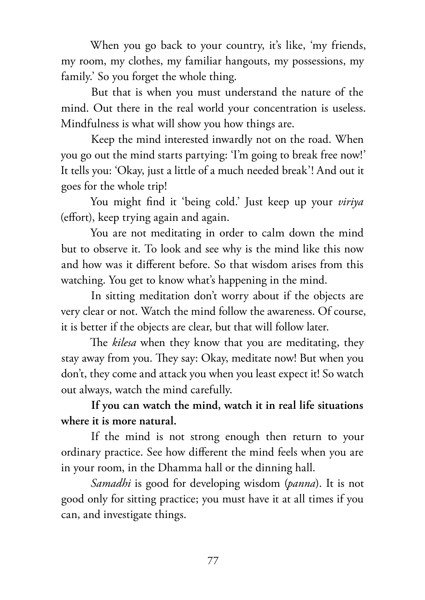When you go back to your country, it's like, 'my friends, my room, my clothes, my familiar hangouts, my possessions, my family.' So you forget the whole thing.

But that is when you must understand the nature of the mind. Out there in the real world your concentration is useless. Mindfulness is what will show you how things are.

Keep the mind interested inwardly not on the road. When you go out the mind starts partying: 'I'm going to break free now!' It tells you: 'Okay, just a little of a much needed break'! And out it goes for the whole trip!

You might find it 'being cold.' Just keep up your *viriya* (effort), keep trying again and again.

You are not meditating in order to calm down the mind but to observe it. To look and see why is the mind like this now and how was it different before. So that wisdom arises from this watching. You get to know what's happening in the mind.

In sitting meditation don't worry about if the objects are very clear or not. Watch the mind follow the awareness. Of course, it is better if the objects are clear, but that will follow later.

The *kilesa* when they know that you are meditating, they stay away from you. They say: Okay, meditate now! But when you don't, they come and attack you when you least expect it! So watch out always, watch the mind carefully.

**If you can watch the mind, watch it in real life situations where it is more natural.**

If the mind is not strong enough then return to your ordinary practice. See how different the mind feels when you are in your room, in the Dhamma hall or the dinning hall.

*Samadhi* is good for developing wisdom (*panna*). It is not good only for sitting practice; you must have it at all times if you can, and investigate things.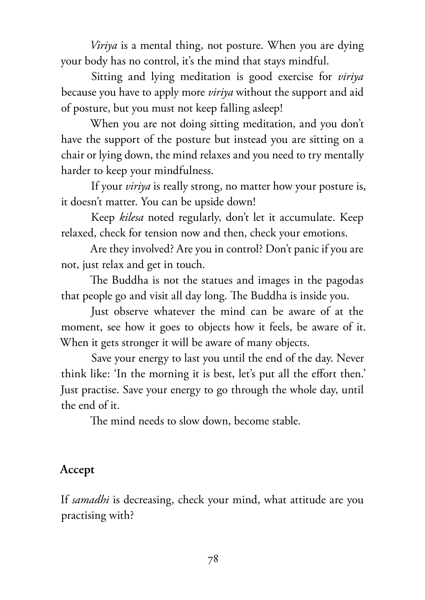*Viriya* is a mental thing, not posture. When you are dying your body has no control, it's the mind that stays mindful.

Sitting and lying meditation is good exercise for *viriya* because you have to apply more *viriya* without the support and aid of posture, but you must not keep falling asleep!

When you are not doing sitting meditation, and you don't have the support of the posture but instead you are sitting on a chair or lying down, the mind relaxes and you need to try mentally harder to keep your mindfulness.

If your *viriya* is really strong, no matter how your posture is, it doesn't matter. You can be upside down!

Keep *kilesa* noted regularly, don't let it accumulate. Keep relaxed, check for tension now and then, check your emotions.

Are they involved? Are you in control? Don't panic if you are not, just relax and get in touch.

The Buddha is not the statues and images in the pagodas that people go and visit all day long. The Buddha is inside you.

Just observe whatever the mind can be aware of at the moment, see how it goes to objects how it feels, be aware of it. When it gets stronger it will be aware of many objects.

Save your energy to last you until the end of the day. Never think like: 'In the morning it is best, let's put all the effort then.' Just practise. Save your energy to go through the whole day, until the end of it.

The mind needs to slow down, become stable.

### **Accept**

If *samadhi* is decreasing, check your mind, what attitude are you practising with?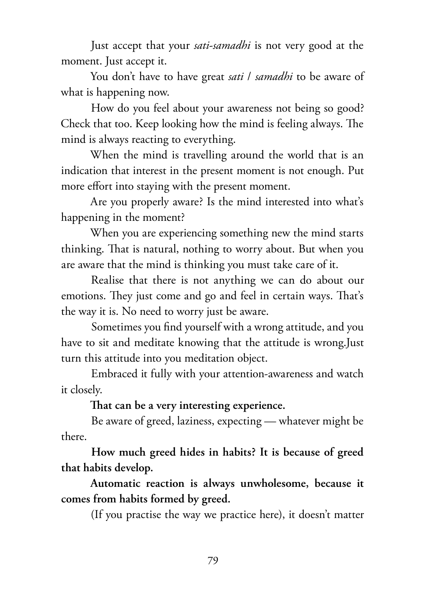Just accept that your *sati*-*samadhi* is not very good at the moment. Just accept it.

You don't have to have great *sati* / *samadhi* to be aware of what is happening now.

How do you feel about your awareness not being so good? Check that too. Keep looking how the mind is feeling always. The mind is always reacting to everything.

When the mind is travelling around the world that is an indication that interest in the present moment is not enough. Put more effort into staying with the present moment.

Are you properly aware? Is the mind interested into what's happening in the moment?

When you are experiencing something new the mind starts thinking. That is natural, nothing to worry about. But when you are aware that the mind is thinking you must take care of it.

Realise that there is not anything we can do about our emotions. They just come and go and feel in certain ways. That's the way it is. No need to worry just be aware.

Sometimes you find yourself with a wrong attitude, and you have to sit and meditate knowing that the attitude is wrong.Just turn this attitude into you meditation object.

Embraced it fully with your attention-awareness and watch it closely.

That can be a very interesting experience.

Be aware of greed, laziness, expecting — whatever might be there.

**How much greed hides in habits? It is because of greed that habits develop.**

**Automatic reaction is always unwholesome, because it comes from habits formed by greed.**

(If you practise the way we practice here), it doesn't matter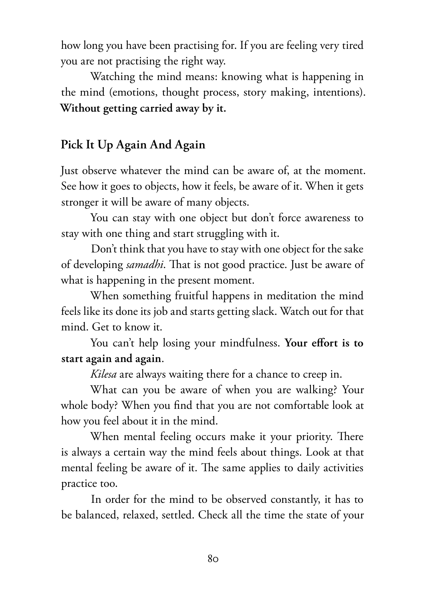how long you have been practising for. If you are feeling very tired you are not practising the right way.

Watching the mind means: knowing what is happening in the mind (emotions, thought process, story making, intentions). **Without getting carried away by it.**

## **Pick It Up Again And Again**

Just observe whatever the mind can be aware of, at the moment. See how it goes to objects, how it feels, be aware of it. When it gets stronger it will be aware of many objects.

You can stay with one object but don't force awareness to stay with one thing and start struggling with it.

Don't think that you have to stay with one object for the sake of developing *samadhi*. That is not good practice. Just be aware of what is happening in the present moment.

When something fruitful happens in meditation the mind feels like its done its job and starts getting slack. Watch out for that mind. Get to know it.

You can't help losing your mindfulness. **Your effort is to start again and again**.

*Kilesa* are always waiting there for a chance to creep in.

What can you be aware of when you are walking? Your whole body? When you find that you are not comfortable look at how you feel about it in the mind.

When mental feeling occurs make it your priority. There is always a certain way the mind feels about things. Look at that mental feeling be aware of it. The same applies to daily activities practice too.

In order for the mind to be observed constantly, it has to be balanced, relaxed, settled. Check all the time the state of your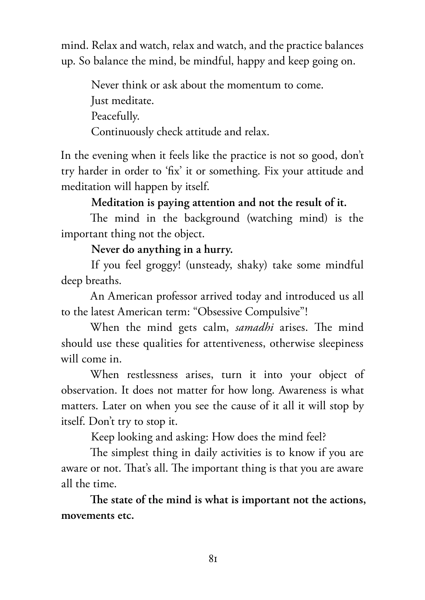mind. Relax and watch, relax and watch, and the practice balances up. So balance the mind, be mindful, happy and keep going on.

Never think or ask about the momentum to come. Just meditate. Peacefully. Continuously check attitude and relax.

In the evening when it feels like the practice is not so good, don't try harder in order to 'fix' it or something. Fix your attitude and meditation will happen by itself.

#### **Meditation is paying attention and not the result of it.**

The mind in the background (watching mind) is the important thing not the object.

**Never do anything in a hurry.**

If you feel groggy! (unsteady, shaky) take some mindful deep breaths.

An American professor arrived today and introduced us all to the latest American term: "Obsessive Compulsive"!

When the mind gets calm, *samadhi* arises. The mind should use these qualities for attentiveness, otherwise sleepiness will come in.

When restlessness arises, turn it into your object of observation. It does not matter for how long. Awareness is what matters. Later on when you see the cause of it all it will stop by itself. Don't try to stop it.

Keep looking and asking: How does the mind feel?

The simplest thing in daily activities is to know if you are aware or not. That's all. The important thing is that you are aware all the time.

The state of the mind is what is important not the actions, **movements etc.**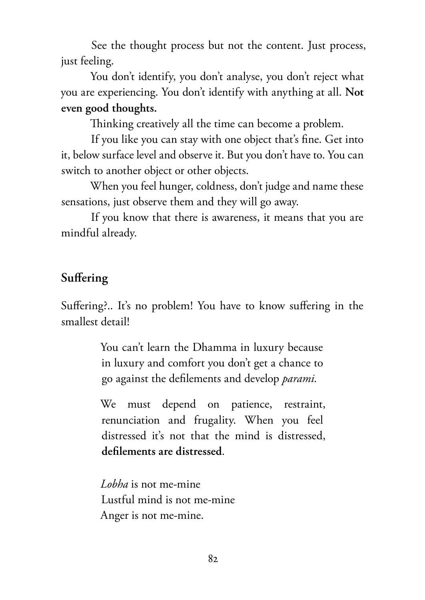See the thought process but not the content. Just process, just feeling.

You don't identify, you don't analyse, you don't reject what you are experiencing. You don't identify with anything at all. **Not even good thoughts.**

Thinking creatively all the time can become a problem.

If you like you can stay with one object that's fine. Get into it, below surface level and observe it. But you don't have to. You can switch to another object or other objects.

When you feel hunger, coldness, don't judge and name these sensations, just observe them and they will go away.

If you know that there is awareness, it means that you are mindful already.

## **Suffering**

Suffering?.. It's no problem! You have to know suffering in the smallest detail!

> You can't learn the Dhamma in luxury because in luxury and comfort you don't get a chance to go against the defilements and develop *parami*.

> We must depend on patience, restraint, renunciation and frugality. When you feel distressed it's not that the mind is distressed, **defilements are distressed**.

*Lobha* is not me-mine Lustful mind is not me-mine Anger is not me-mine.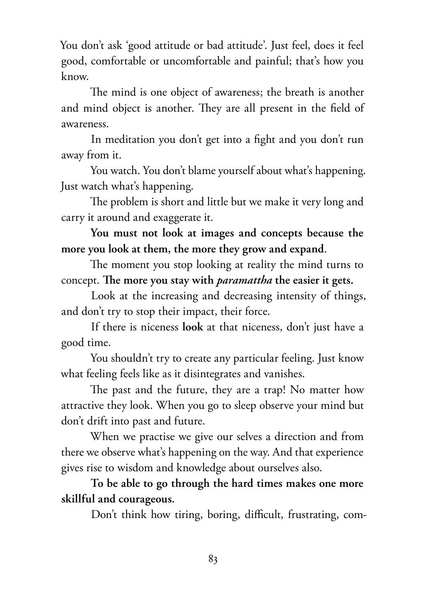You don't ask 'good attitude or bad attitude'. Just feel, does it feel good, comfortable or uncomfortable and painful; that's how you know.

The mind is one object of awareness; the breath is another and mind object is another. They are all present in the field of awareness.

In meditation you don't get into a fight and you don't run away from it.

You watch. You don't blame yourself about what's happening. Just watch what's happening.

The problem is short and little but we make it very long and carry it around and exaggerate it.

**You must not look at images and concepts because the more you look at them, the more they grow and expand**.

The moment you stop looking at reality the mind turns to concept. The more you stay with *paramattha* the easier it gets.

Look at the increasing and decreasing intensity of things, and don't try to stop their impact, their force.

If there is niceness **look** at that niceness, don't just have a good time.

You shouldn't try to create any particular feeling. Just know what feeling feels like as it disintegrates and vanishes.

The past and the future, they are a trap! No matter how attractive they look. When you go to sleep observe your mind but don't drift into past and future.

When we practise we give our selves a direction and from there we observe what's happening on the way. And that experience gives rise to wisdom and knowledge about ourselves also.

**To be able to go through the hard times makes one more skillful and courageous.**

Don't think how tiring, boring, difficult, frustrating, com-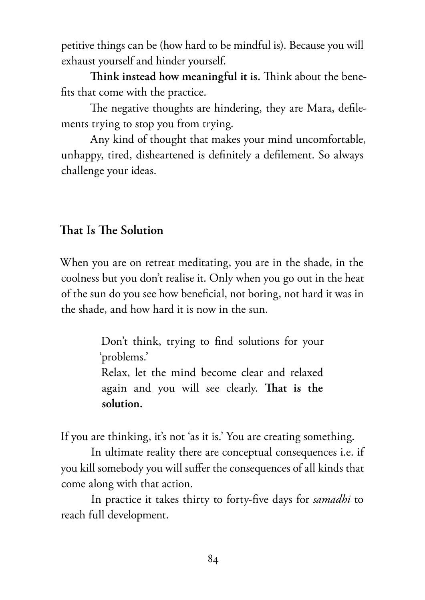petitive things can be (how hard to be mindful is). Because you will exhaust yourself and hinder yourself.

Think instead how meaningful it is. Think about the benefits that come with the practice.

The negative thoughts are hindering, they are Mara, defilements trying to stop you from trying.

Any kind of thought that makes your mind uncomfortable, unhappy, tired, disheartened is definitely a defilement. So always challenge your ideas.

### **That Is The Solution**

When you are on retreat meditating, you are in the shade, in the coolness but you don't realise it. Only when you go out in the heat of the sun do you see how beneficial, not boring, not hard it was in the shade, and how hard it is now in the sun.

> Don't think, trying to find solutions for your 'problems.' Relax, let the mind become clear and relaxed again and you will see clearly. That is the **solution.**

If you are thinking, it's not 'as it is.' You are creating something.

In ultimate reality there are conceptual consequences i.e. if you kill somebody you will suffer the consequences of all kinds that come along with that action.

In practice it takes thirty to forty-five days for *samadhi* to reach full development.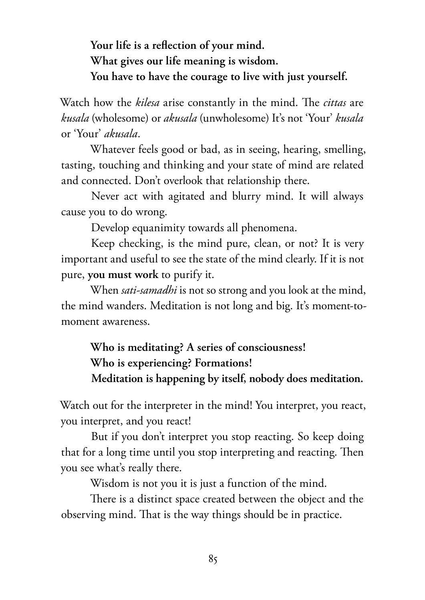**Your life is a reflection of your mind. What gives our life meaning is wisdom. You have to have the courage to live with just yourself.**

Watch how the *kilesa* arise constantly in the mind. The *cittas* are *kusala* (wholesome) or *akusala* (unwholesome) It's not 'Your' *kusala* or 'Your' *akusala*.

Whatever feels good or bad, as in seeing, hearing, smelling, tasting, touching and thinking and your state of mind are related and connected. Don't overlook that relationship there.

Never act with agitated and blurry mind. It will always cause you to do wrong.

Develop equanimity towards all phenomena.

Keep checking, is the mind pure, clean, or not? It is very important and useful to see the state of the mind clearly. If it is not pure, **you must work** to purify it.

When *sati-samadhi* is not so strong and you look at the mind, the mind wanders. Meditation is not long and big. It's moment-tomoment awareness.

## **Who is meditating? A series of consciousness! Who is experiencing? Formations! Meditation is happening by itself, nobody does meditation.**

Watch out for the interpreter in the mind! You interpret, you react, you interpret, and you react!

But if you don't interpret you stop reacting. So keep doing that for a long time until you stop interpreting and reacting. Then you see what's really there.

Wisdom is not you it is just a function of the mind.

There is a distinct space created between the object and the observing mind. That is the way things should be in practice.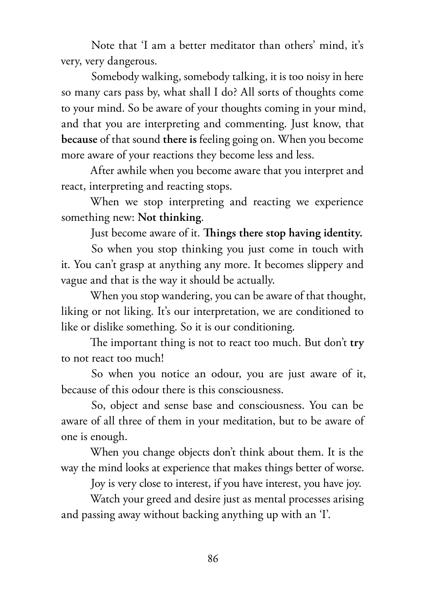Note that 'I am a better meditator than others' mind, it's very, very dangerous.

Somebody walking, somebody talking, it is too noisy in here so many cars pass by, what shall I do? All sorts of thoughts come to your mind. So be aware of your thoughts coming in your mind, and that you are interpreting and commenting. Just know, that **because** of that sound **there is** feeling going on. When you become more aware of your reactions they become less and less.

After awhile when you become aware that you interpret and react, interpreting and reacting stops.

When we stop interpreting and reacting we experience something new: **Not thinking**.

Just become aware of it. Things there stop having identity.

So when you stop thinking you just come in touch with it. You can't grasp at anything any more. It becomes slippery and vague and that is the way it should be actually.

When you stop wandering, you can be aware of that thought, liking or not liking. It's our interpretation, we are conditioned to like or dislike something. So it is our conditioning.

The important thing is not to react too much. But don't try to not react too much!

So when you notice an odour, you are just aware of it, because of this odour there is this consciousness.

So, object and sense base and consciousness. You can be aware of all three of them in your meditation, but to be aware of one is enough.

When you change objects don't think about them. It is the way the mind looks at experience that makes things better of worse.

Joy is very close to interest, if you have interest, you have joy.

Watch your greed and desire just as mental processes arising and passing away without backing anything up with an 'I'.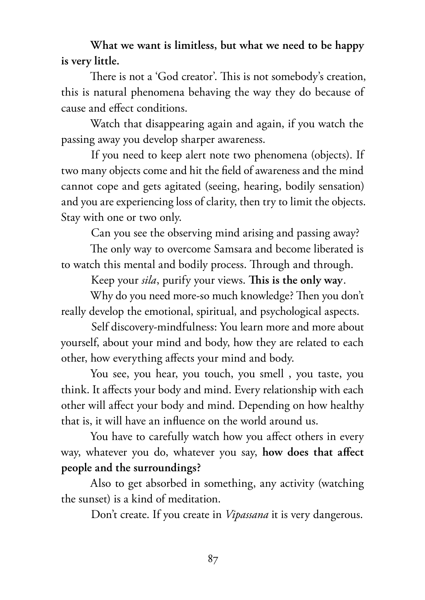**What we want is limitless, but what we need to be happy is very little.**

There is not a 'God creator'. This is not somebody's creation, this is natural phenomena behaving the way they do because of cause and effect conditions.

Watch that disappearing again and again, if you watch the passing away you develop sharper awareness.

If you need to keep alert note two phenomena (objects). If two many objects come and hit the field of awareness and the mind cannot cope and gets agitated (seeing, hearing, bodily sensation) and you are experiencing loss of clarity, then try to limit the objects. Stay with one or two only.

Can you see the observing mind arising and passing away?

The only way to overcome Samsara and become liberated is to watch this mental and bodily process. Through and through.

Keep your *sila*, purify your views. This is the only way.

Why do you need more-so much knowledge? Then you don't really develop the emotional, spiritual, and psychological aspects.

Self discovery-mindfulness: You learn more and more about yourself, about your mind and body, how they are related to each other, how everything affects your mind and body.

You see, you hear, you touch, you smell , you taste, you think. It affects your body and mind. Every relationship with each other will affect your body and mind. Depending on how healthy that is, it will have an influence on the world around us.

You have to carefully watch how you affect others in every way, whatever you do, whatever you say, **how does that affect people and the surroundings?**

Also to get absorbed in something, any activity (watching the sunset) is a kind of meditation.

Don't create. If you create in *Vipassana* it is very dangerous.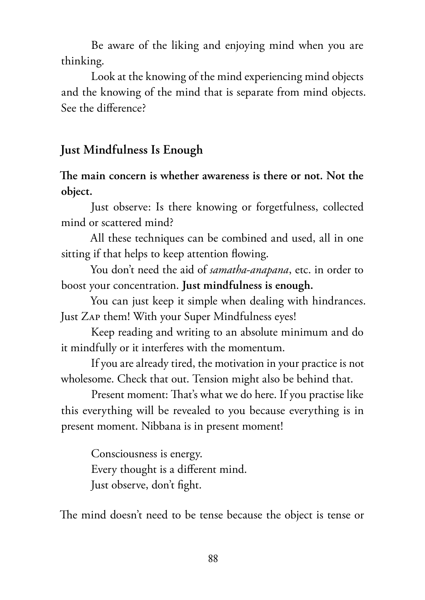Be aware of the liking and enjoying mind when you are thinking.

Look at the knowing of the mind experiencing mind objects and the knowing of the mind that is separate from mind objects. See the difference?

### **Just Mindfulness Is Enough**

The main concern is whether awareness is there or not. Not the **object.**

Just observe: Is there knowing or forgetfulness, collected mind or scattered mind?

All these techniques can be combined and used, all in one sitting if that helps to keep attention flowing.

You don't need the aid of *samatha*-*anapana*, etc. in order to boost your concentration. **Just mindfulness is enough.**

You can just keep it simple when dealing with hindrances. Just ZAP them! With your Super Mindfulness eyes!

Keep reading and writing to an absolute minimum and do it mindfully or it interferes with the momentum.

If you are already tired, the motivation in your practice is not wholesome. Check that out. Tension might also be behind that.

Present moment: That's what we do here. If you practise like this everything will be revealed to you because everything is in present moment. Nibbana is in present moment!

Consciousness is energy. Every thought is a different mind. Just observe, don't fight.

The mind doesn't need to be tense because the object is tense or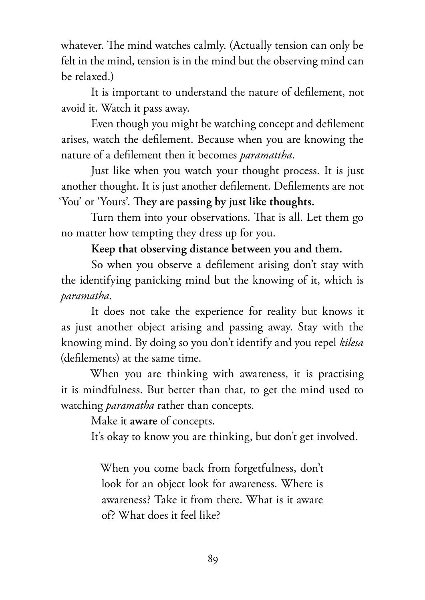whatever. The mind watches calmly. (Actually tension can only be felt in the mind, tension is in the mind but the observing mind can be relaxed.)

It is important to understand the nature of defilement, not avoid it. Watch it pass away.

Even though you might be watching concept and defilement arises, watch the defilement. Because when you are knowing the nature of a defilement then it becomes *paramattha*.

Just like when you watch your thought process. It is just another thought. It is just another defilement. Defilements are not 'You' or 'Yours'. They are passing by just like thoughts.

Turn them into your observations. That is all. Let them go no matter how tempting they dress up for you.

### **Keep that observing distance between you and them.**

So when you observe a defilement arising don't stay with the identifying panicking mind but the knowing of it, which is *paramatha*.

It does not take the experience for reality but knows it as just another object arising and passing away. Stay with the knowing mind. By doing so you don't identify and you repel *kilesa* (defilements) at the same time.

When you are thinking with awareness, it is practising it is mindfulness. But better than that, to get the mind used to watching *paramatha* rather than concepts.

Make it **aware** of concepts.

It's okay to know you are thinking, but don't get involved.

When you come back from forgetfulness, don't look for an object look for awareness. Where is awareness? Take it from there. What is it aware of? What does it feel like?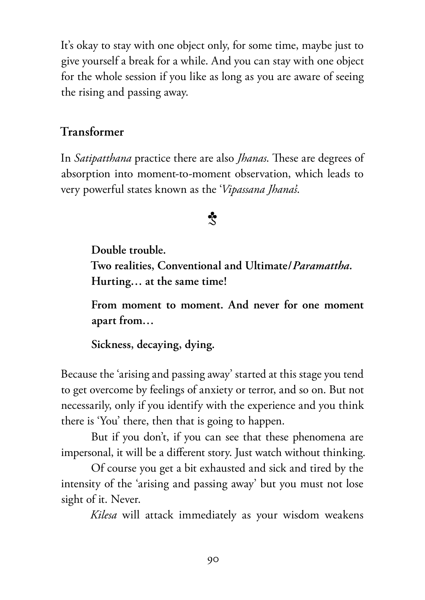It's okay to stay with one object only, for some time, maybe just to give yourself a break for a while. And you can stay with one object for the whole session if you like as long as you are aware of seeing the rising and passing away.

## **Transformer**

In *Satipatthana* practice there are also *Jhanas*. These are degrees of absorption into moment-to-moment observation, which leads to very powerful states known as the '*Vipassana Jhanas'*.

# $\ddot{\mathcal{S}}$

**Double trouble.**

Two realities, Conventional and Ultimate/*Paramattha*. **Hurting… at the same time!**

**From moment to moment. And never for one moment apart from…**

**Sickness, decaying, dying.**

Because the 'arising and passing away' started at this stage you tend to get overcome by feelings of anxiety or terror, and so on. But not necessarily, only if you identify with the experience and you think there is 'You' there, then that is going to happen.

But if you don't, if you can see that these phenomena are impersonal, it will be a different story. Just watch without thinking.

Of course you get a bit exhausted and sick and tired by the intensity of the 'arising and passing away' but you must not lose sight of it. Never.

*Kilesa* will attack immediately as your wisdom weakens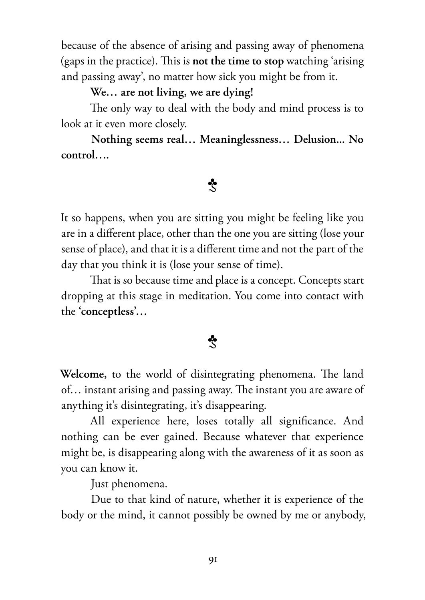because of the absence of arising and passing away of phenomena (gaps in the practice). This is **not the time to stop** watching 'arising and passing away', no matter how sick you might be from it.

#### **We… are not living, we are dying!**

The only way to deal with the body and mind process is to look at it even more closely.

**Nothing seems real… Meaninglessness… Delusion... No control….**

# $\ddot{\mathcal{S}}$

It so happens, when you are sitting you might be feeling like you are in a different place, other than the one you are sitting (lose your sense of place), and that it is a different time and not the part of the day that you think it is (lose your sense of time).

That is so because time and place is a concept. Concepts start dropping at this stage in meditation. You come into contact with the **'conceptless'…**

# $\frac{1}{\sqrt{2}}$

Welcome, to the world of disintegrating phenomena. The land of... instant arising and passing away. The instant you are aware of anything it's disintegrating, it's disappearing.

All experience here, loses totally all significance. And nothing can be ever gained. Because whatever that experience might be, is disappearing along with the awareness of it as soon as you can know it.

Just phenomena.

Due to that kind of nature, whether it is experience of the body or the mind, it cannot possibly be owned by me or anybody,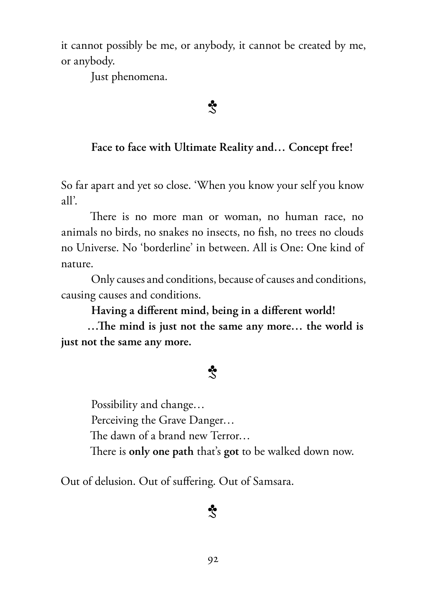it cannot possibly be me, or anybody, it cannot be created by me, or anybody.

Just phenomena.

## $\ddot{\mathcal{S}}$

#### **Face to face with Ultimate Reality and… Concept free!**

So far apart and yet so close. 'When you know your self you know all'.

There is no more man or woman, no human race, no animals no birds, no snakes no insects, no fish, no trees no clouds no Universe. No 'borderline' in between. All is One: One kind of nature.

Only causes and conditions, because of causes and conditions, causing causes and conditions.

**Having a different mind, being in a different world!**

...The mind is just not the same any more... the world is **just not the same any more.**

# $\frac{1}{2}$

Possibility and change… Perceiving the Grave Danger… The dawn of a brand new Terror... There is **only** one path that's got to be walked down now.

Out of delusion. Out of suffering. Out of Samsara.

## $\ddot{\mathcal{S}}$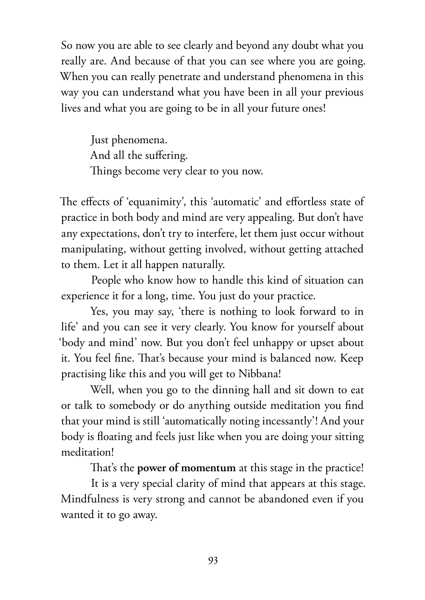So now you are able to see clearly and beyond any doubt what you really are. And because of that you can see where you are going. When you can really penetrate and understand phenomena in this way you can understand what you have been in all your previous lives and what you are going to be in all your future ones!

Just phenomena. And all the suffering. Things become very clear to you now.

The effects of 'equanimity', this 'automatic' and effortless state of practice in both body and mind are very appealing. But don't have any expectations, don't try to interfere, let them just occur without manipulating, without getting involved, without getting attached to them. Let it all happen naturally.

People who know how to handle this kind of situation can experience it for a long, time. You just do your practice.

Yes, you may say, 'there is nothing to look forward to in life' and you can see it very clearly. You know for yourself about 'body and mind' now. But you don't feel unhappy or upset about it. You feel fine. That's because your mind is balanced now. Keep practising like this and you will get to Nibbana!

Well, when you go to the dinning hall and sit down to eat or talk to somebody or do anything outside meditation you find that your mind is still 'automatically noting incessantly'! And your body is floating and feels just like when you are doing your sitting meditation!

That's the **power of momentum** at this stage in the practice!

It is a very special clarity of mind that appears at this stage. Mindfulness is very strong and cannot be abandoned even if you wanted it to go away.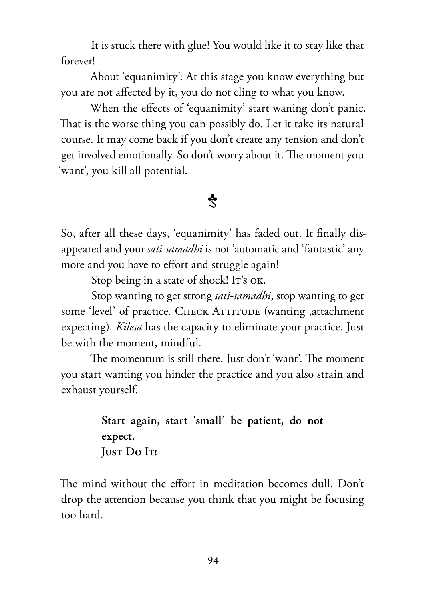It is stuck there with glue! You would like it to stay like that forever!

About 'equanimity': At this stage you know everything but you are not affected by it, you do not cling to what you know.

When the effects of 'equanimity' start waning don't panic. That is the worse thing you can possibly do. Let it take its natural course. It may come back if you don't create any tension and don't get involved emotionally. So don't worry about it. The moment you 'want', you kill all potential.

# $\ddot{\mathcal{S}}$

So, after all these days, 'equanimity' has faded out. It finally disappeared and your *sati*-*samadhi* is not 'automatic and 'fantastic' any more and you have to effort and struggle again!

Stop being in a state of shock! It's ok.

Stop wanting to get strong *sati-samadhi*, stop wanting to get some 'level' of practice. CHECK ATTITUDE (wanting ,attachment expecting). *Kilesa* has the capacity to eliminate your practice. Just be with the moment, mindful.

The momentum is still there. Just don't 'want'. The moment you start wanting you hinder the practice and you also strain and exhaust yourself.

### **Start again, start 'small' be patient, do not expect. JUST DO IT!**

The mind without the effort in meditation becomes dull. Don't drop the attention because you think that you might be focusing too hard.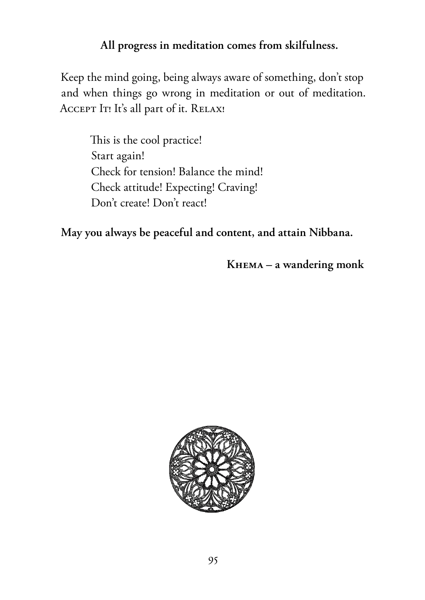### **All progress in meditation comes from skilfulness.**

Keep the mind going, being always aware of something, don't stop and when things go wrong in meditation or out of meditation. ACCEPT IT! It's all part of it. RELAX!

This is the cool practice! Start again! Check for tension! Balance the mind! Check attitude! Expecting! Craving! Don't create! Don't react!

**May you always be peaceful and content, and attain Nibbana.**

KHEMA - a wandering monk

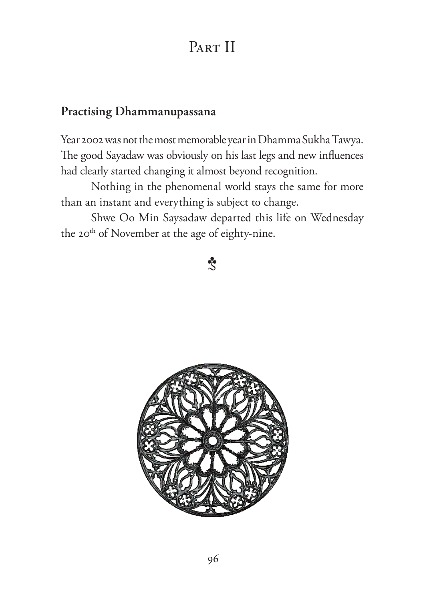# PART II

### **Practising Dhammanupassana**

Year 2002 was not the most memorable year in Dhamma Sukha Tawya. The good Sayadaw was obviously on his last legs and new influences had clearly started changing it almost beyond recognition.

Nothing in the phenomenal world stays the same for more than an instant and everything is subject to change.

Shwe Oo Min Saysadaw departed this life on Wednesday the 20<sup>th</sup> of November at the age of eighty-nine.



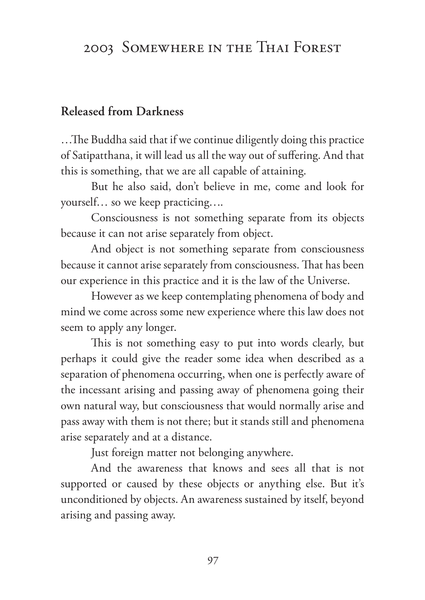## 2003 SOMEWHERE IN THE THAI FOREST

#### **Released from Darkness**

...The Buddha said that if we continue diligently doing this practice of Satipatthana, it will lead us all the way out of suffering. And that this is something, that we are all capable of attaining.

But he also said, don't believe in me, come and look for yourself… so we keep practicing….

Consciousness is not something separate from its objects because it can not arise separately from object.

And object is not something separate from consciousness because it cannot arise separately from consciousness. That has been our experience in this practice and it is the law of the Universe.

However as we keep contemplating phenomena of body and mind we come across some new experience where this law does not seem to apply any longer.

This is not something easy to put into words clearly, but perhaps it could give the reader some idea when described as a separation of phenomena occurring, when one is perfectly aware of the incessant arising and passing away of phenomena going their own natural way, but consciousness that would normally arise and pass away with them is not there; but it stands still and phenomena arise separately and at a distance.

Just foreign matter not belonging anywhere.

And the awareness that knows and sees all that is not supported or caused by these objects or anything else. But it's unconditioned by objects. An awareness sustained by itself, beyond arising and passing away.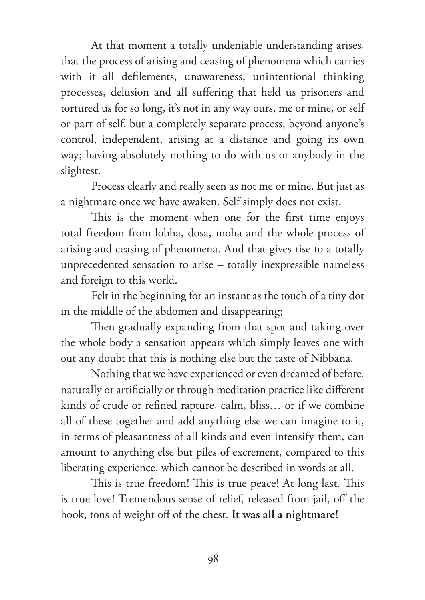At that moment a totally undeniable understanding arises, that the process of arising and ceasing of phenomena which carries with it all defilements, unawareness, unintentional thinking processes, delusion and all suffering that held us prisoners and tortured us for so long, it's not in any way ours, me or mine, or self or part of self, but a completely separate process, beyond anyone's control, independent, arising at a distance and going its own way; having absolutely nothing to do with us or anybody in the slightest.

Process clearly and really seen as not me or mine. But just as a nightmare once we have awaken. Self simply does not exist.

This is the moment when one for the first time enjoys total freedom from lobha, dosa, moha and the whole process of arising and ceasing of phenomena. And that gives rise to a totally unprecedented sensation to arise – totally inexpressible nameless and foreign to this world.

Felt in the beginning for an instant as the touch of a tiny dot in the middle of the abdomen and disappearing;

Then gradually expanding from that spot and taking over the whole body a sensation appears which simply leaves one with out any doubt that this is nothing else but the taste of Nibbana.

Nothing that we have experienced or even dreamed of before, naturally or artificially or through meditation practice like different kinds of crude or refined rapture, calm, bliss… or if we combine all of these together and add anything else we can imagine to it, in terms of pleasantness of all kinds and even intensify them, can amount to anything else but piles of excrement, compared to this liberating experience, which cannot be described in words at all.

This is true freedom! This is true peace! At long last. This is true love! Tremendous sense of relief, released from jail, off the hook, tons of weight off of the chest. **It was all a nightmare!**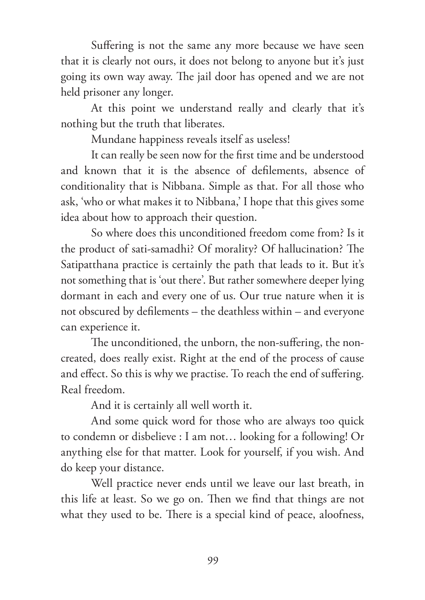Suffering is not the same any more because we have seen that it is clearly not ours, it does not belong to anyone but it's just going its own way away. The jail door has opened and we are not held prisoner any longer.

At this point we understand really and clearly that it's nothing but the truth that liberates.

Mundane happiness reveals itself as useless!

It can really be seen now for the first time and be understood and known that it is the absence of defilements, absence of conditionality that is Nibbana. Simple as that. For all those who ask, 'who or what makes it to Nibbana,' I hope that this gives some idea about how to approach their question.

So where does this unconditioned freedom come from? Is it the product of sati-samadhi? Of morality? Of hallucination? The Satipatthana practice is certainly the path that leads to it. But it's not something that is 'out there'. But rather somewhere deeper lying dormant in each and every one of us. Our true nature when it is not obscured by defilements – the deathless within – and everyone can experience it.

The unconditioned, the unborn, the non-suffering, the noncreated, does really exist. Right at the end of the process of cause and effect. So this is why we practise. To reach the end of suffering. Real freedom.

And it is certainly all well worth it.

And some quick word for those who are always too quick to condemn or disbelieve : I am not… looking for a following! Or anything else for that matter. Look for yourself, if you wish. And do keep your distance.

Well practice never ends until we leave our last breath, in this life at least. So we go on. Then we find that things are not what they used to be. There is a special kind of peace, aloofness,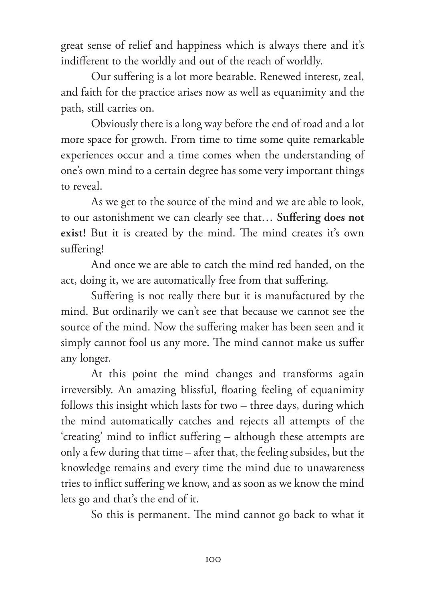great sense of relief and happiness which is always there and it's indifferent to the worldly and out of the reach of worldly.

Our suffering is a lot more bearable. Renewed interest, zeal, and faith for the practice arises now as well as equanimity and the path, still carries on.

Obviously there is a long way before the end of road and a lot more space for growth. From time to time some quite remarkable experiences occur and a time comes when the understanding of one's own mind to a certain degree has some very important things to reveal.

As we get to the source of the mind and we are able to look, to our astonishment we can clearly see that… **Suffering does not**  exist! But it is created by the mind. The mind creates it's own suffering!

And once we are able to catch the mind red handed, on the act, doing it, we are automatically free from that suffering.

Suffering is not really there but it is manufactured by the mind. But ordinarily we can't see that because we cannot see the source of the mind. Now the suffering maker has been seen and it simply cannot fool us any more. The mind cannot make us suffer any longer.

At this point the mind changes and transforms again irreversibly. An amazing blissful, floating feeling of equanimity follows this insight which lasts for two – three days, during which the mind automatically catches and rejects all attempts of the 'creating' mind to inflict suffering – although these attempts are only a few during that time – after that, the feeling subsides, but the knowledge remains and every time the mind due to unawareness tries to inflict suffering we know, and as soon as we know the mind lets go and that's the end of it.

So this is permanent. The mind cannot go back to what it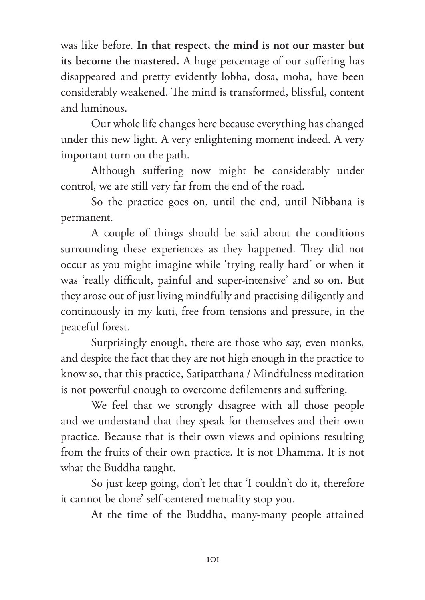was like before. **In that respect, the mind is not our master but its become the mastered.** A huge percentage of our suffering has disappeared and pretty evidently lobha, dosa, moha, have been considerably weakened. The mind is transformed, blissful, content and luminous.

Our whole life changes here because everything has changed under this new light. A very enlightening moment indeed. A very important turn on the path.

Although suffering now might be considerably under control, we are still very far from the end of the road.

So the practice goes on, until the end, until Nibbana is permanent.

A couple of things should be said about the conditions surrounding these experiences as they happened. They did not occur as you might imagine while 'trying really hard' or when it was 'really difficult, painful and super-intensive' and so on. But they arose out of just living mindfully and practising diligently and continuously in my kuti, free from tensions and pressure, in the peaceful forest.

Surprisingly enough, there are those who say, even monks, and despite the fact that they are not high enough in the practice to know so, that this practice, Satipatthana / Mindfulness meditation is not powerful enough to overcome defilements and suffering.

We feel that we strongly disagree with all those people and we understand that they speak for themselves and their own practice. Because that is their own views and opinions resulting from the fruits of their own practice. It is not Dhamma. It is not what the Buddha taught.

So just keep going, don't let that 'I couldn't do it, therefore it cannot be done' self-centered mentality stop you.

At the time of the Buddha, many-many people attained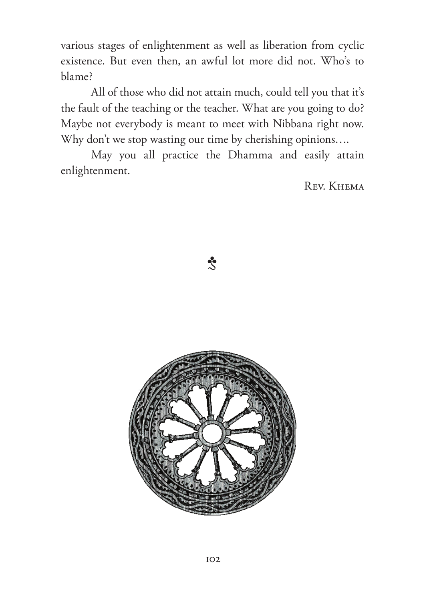various stages of enlightenment as well as liberation from cyclic existence. But even then, an awful lot more did not. Who's to blame?

All of those who did not attain much, could tell you that it's the fault of the teaching or the teacher. What are you going to do? Maybe not everybody is meant to meet with Nibbana right now. Why don't we stop wasting our time by cherishing opinions….

May you all practice the Dhamma and easily attain enlightenment.

REV. KHEMA



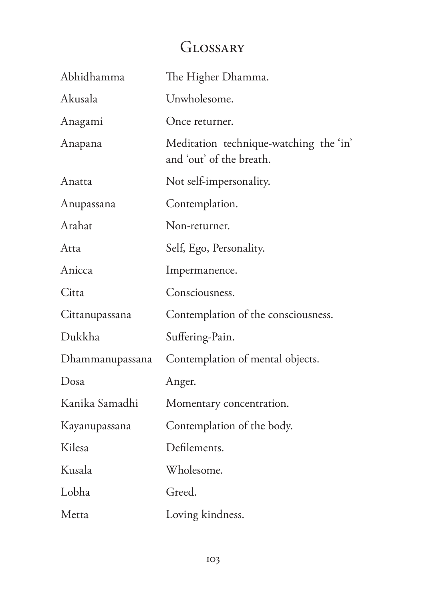# GLOSSARY

| Abhidhamma      | The Higher Dhamma.                                                 |
|-----------------|--------------------------------------------------------------------|
| Akusala         | Unwholesome.                                                       |
| Anagami         | Once returner.                                                     |
| Anapana         | Meditation technique-watching the 'in'<br>and 'out' of the breath. |
| Anatta          | Not self-impersonality.                                            |
| Anupassana      | Contemplation.                                                     |
| Arahat          | Non-returner.                                                      |
| Atta            | Self, Ego, Personality.                                            |
| Anicca          | Impermanence.                                                      |
| Citta           | Consciousness.                                                     |
| Cittanupassana  | Contemplation of the consciousness.                                |
| Dukkha          | Suffering-Pain.                                                    |
| Dhammanupassana | Contemplation of mental objects.                                   |
| Dosa            | Anger.                                                             |
| Kanika Samadhi  | Momentary concentration.                                           |
| Kayanupassana   | Contemplation of the body.                                         |
| Kilesa          | Defilements.                                                       |
| Kusala          | Wholesome.                                                         |
| Lobha           | Greed.                                                             |
| Metta           | Loving kindness.                                                   |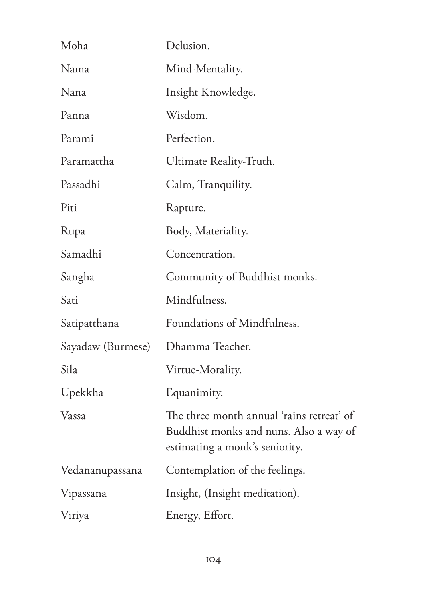| Moha              | Delusion.                                                                                                             |
|-------------------|-----------------------------------------------------------------------------------------------------------------------|
| Nama              | Mind-Mentality.                                                                                                       |
| Nana              | Insight Knowledge.                                                                                                    |
| Panna             | Wisdom.                                                                                                               |
| Parami            | Perfection.                                                                                                           |
| Paramattha        | Ultimate Reality-Truth.                                                                                               |
| Passadhi          | Calm, Tranquility.                                                                                                    |
| Piti              | Rapture.                                                                                                              |
| Rupa              | Body, Materiality.                                                                                                    |
| Samadhi           | Concentration.                                                                                                        |
| Sangha            | Community of Buddhist monks.                                                                                          |
| Sati              | Mindfulness.                                                                                                          |
| Satipatthana      | Foundations of Mindfulness.                                                                                           |
| Sayadaw (Burmese) | Dhamma Teacher.                                                                                                       |
| Sila              | Virtue-Morality.                                                                                                      |
| Upekkha           | Equanimity.                                                                                                           |
| Vassa             | The three month annual 'rains retreat' of<br>Buddhist monks and nuns. Also a way of<br>estimating a monk's seniority. |
| Vedananupassana   | Contemplation of the feelings.                                                                                        |
| Vipassana         | Insight, (Insight meditation).                                                                                        |
| Viriya            | Energy, Effort.                                                                                                       |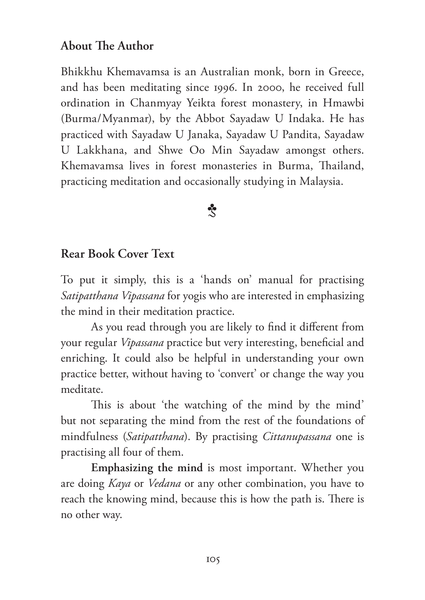### **About The Author**

Bhikkhu Khemavamsa is an Australian monk, born in Greece, and has been meditating since 1996. In 2000, he received full ordination in Chanmyay Yeikta forest monastery, in Hmawbi (Burma/Myanmar), by the Abbot Sayadaw U Indaka. He has practiced with Sayadaw U Janaka, Sayadaw U Pandita, Sayadaw U Lakkhana, and Shwe Oo Min Sayadaw amongst others. Khemavamsa lives in forest monasteries in Burma, Thailand, practicing meditation and occasionally studying in Malaysia.

## $\ddot{\mathcal{S}}$

### **Rear Book Cover Text**

To put it simply, this is a 'hands on' manual for practising *Satipatthana Vipassana* for yogis who are interested in emphasizing the mind in their meditation practice.

As you read through you are likely to find it different from your regular *Vipassana* practice but very interesting, beneficial and enriching. It could also be helpful in understanding your own practice better, without having to 'convert' or change the way you meditate.

This is about 'the watching of the mind by the mind' but not separating the mind from the rest of the foundations of mindfulness (*Satipatthana*). By practising *Cittanupassana* one is practising all four of them.

**Emphasizing the mind** is most important. Whether you are doing *Kaya* or *Vedana* or any other combination, you have to reach the knowing mind, because this is how the path is. There is no other way.